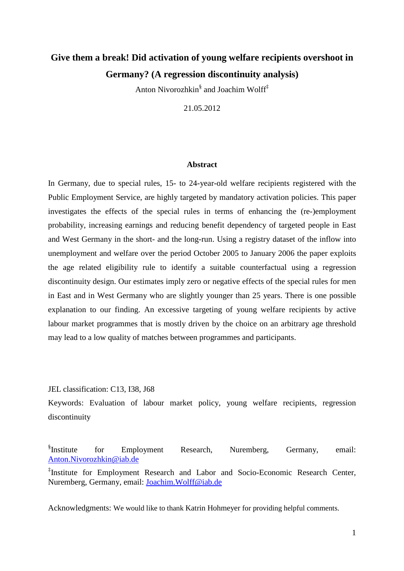# **Give them a break! Did activation of young welfare recipients overshoot in Germany? (A regression discontinuity analysis)**

Anton Nivorozhkin<sup>§</sup> and Joachim Wolff<sup>‡</sup>

21.05.2012

#### **Abstract**

In Germany, due to special rules, 15- to 24-year-old welfare recipients registered with the Public Employment Service, are highly targeted by mandatory activation policies. This paper investigates the effects of the special rules in terms of enhancing the (re-)employment probability, increasing earnings and reducing benefit dependency of targeted people in East and West Germany in the short- and the long-run. Using a registry dataset of the inflow into unemployment and welfare over the period October 2005 to January 2006 the paper exploits the age related eligibility rule to identify a suitable counterfactual using a regression discontinuity design. Our estimates imply zero or negative effects of the special rules for men in East and in West Germany who are slightly younger than 25 years. There is one possible explanation to our finding. An excessive targeting of young welfare recipients by active labour market programmes that is mostly driven by the choice on an arbitrary age threshold may lead to a low quality of matches between programmes and participants.

JEL classification: C13, I38, J68

Keywords: Evaluation of labour market policy, young welfare recipients, regression discontinuity

<sup>§</sup>Institute for Employment Research, Nuremberg, Germany, email: Anton.Nivorozhkin@iab.de

‡ Institute for Employment Research and Labor and Socio-Economic Research Center, Nuremberg, Germany, email: Joachim.Wolff@iab.de

Acknowledgments: We would like to thank Katrin Hohmeyer for providing helpful comments.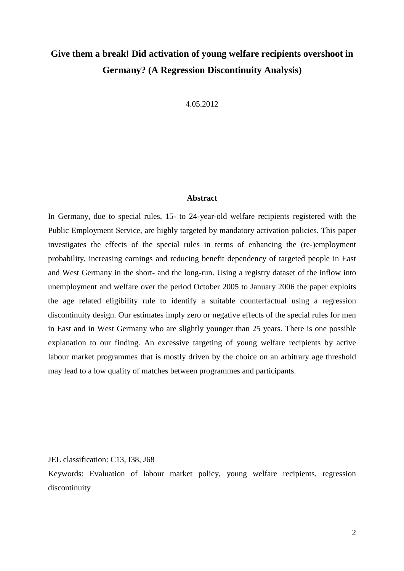# **Give them a break! Did activation of young welfare recipients overshoot in Germany? (A Regression Discontinuity Analysis)**

4.05.2012

## **Abstract**

In Germany, due to special rules, 15- to 24-year-old welfare recipients registered with the Public Employment Service, are highly targeted by mandatory activation policies. This paper investigates the effects of the special rules in terms of enhancing the (re-)employment probability, increasing earnings and reducing benefit dependency of targeted people in East and West Germany in the short- and the long-run. Using a registry dataset of the inflow into unemployment and welfare over the period October 2005 to January 2006 the paper exploits the age related eligibility rule to identify a suitable counterfactual using a regression discontinuity design. Our estimates imply zero or negative effects of the special rules for men in East and in West Germany who are slightly younger than 25 years. There is one possible explanation to our finding. An excessive targeting of young welfare recipients by active labour market programmes that is mostly driven by the choice on an arbitrary age threshold may lead to a low quality of matches between programmes and participants.

JEL classification: C13, I38, J68

Keywords: Evaluation of labour market policy, young welfare recipients, regression discontinuity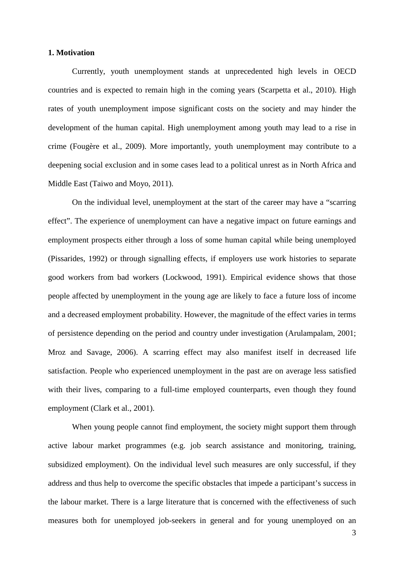## **1. Motivation**

Currently, youth unemployment stands at unprecedented high levels in OECD countries and is expected to remain high in the coming years (Scarpetta et al., 2010). High rates of youth unemployment impose significant costs on the society and may hinder the development of the human capital. High unemployment among youth may lead to a rise in crime (Fougère et al., 2009). More importantly, youth unemployment may contribute to a deepening social exclusion and in some cases lead to a political unrest as in North Africa and Middle East (Taiwo and Moyo, 2011).

On the individual level, unemployment at the start of the career may have a "scarring effect". The experience of unemployment can have a negative impact on future earnings and employment prospects either through a loss of some human capital while being unemployed (Pissarides, 1992) or through signalling effects, if employers use work histories to separate good workers from bad workers (Lockwood, 1991). Empirical evidence shows that those people affected by unemployment in the young age are likely to face a future loss of income and a decreased employment probability. However, the magnitude of the effect varies in terms of persistence depending on the period and country under investigation (Arulampalam, 2001; Mroz and Savage, 2006). A scarring effect may also manifest itself in decreased life satisfaction. People who experienced unemployment in the past are on average less satisfied with their lives, comparing to a full-time employed counterparts, even though they found employment (Clark et al., 2001).

When young people cannot find employment, the society might support them through active labour market programmes (e.g. job search assistance and monitoring, training, subsidized employment). On the individual level such measures are only successful, if they address and thus help to overcome the specific obstacles that impede a participant's success in the labour market. There is a large literature that is concerned with the effectiveness of such measures both for unemployed job-seekers in general and for young unemployed on an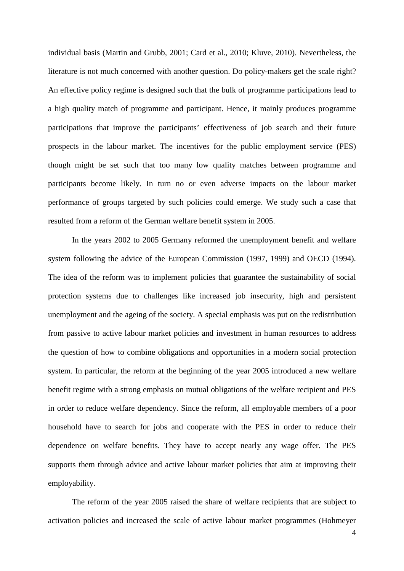individual basis (Martin and Grubb, 2001; Card et al., 2010; Kluve, 2010). Nevertheless, the literature is not much concerned with another question. Do policy-makers get the scale right? An effective policy regime is designed such that the bulk of programme participations lead to a high quality match of programme and participant. Hence, it mainly produces programme participations that improve the participants' effectiveness of job search and their future prospects in the labour market. The incentives for the public employment service (PES) though might be set such that too many low quality matches between programme and participants become likely. In turn no or even adverse impacts on the labour market performance of groups targeted by such policies could emerge. We study such a case that resulted from a reform of the German welfare benefit system in 2005.

In the years 2002 to 2005 Germany reformed the unemployment benefit and welfare system following the advice of the European Commission (1997, 1999) and OECD (1994). The idea of the reform was to implement policies that guarantee the sustainability of social protection systems due to challenges like increased job insecurity, high and persistent unemployment and the ageing of the society. A special emphasis was put on the redistribution from passive to active labour market policies and investment in human resources to address the question of how to combine obligations and opportunities in a modern social protection system. In particular, the reform at the beginning of the year 2005 introduced a new welfare benefit regime with a strong emphasis on mutual obligations of the welfare recipient and PES in order to reduce welfare dependency. Since the reform, all employable members of a poor household have to search for jobs and cooperate with the PES in order to reduce their dependence on welfare benefits. They have to accept nearly any wage offer. The PES supports them through advice and active labour market policies that aim at improving their employability.

The reform of the year 2005 raised the share of welfare recipients that are subject to activation policies and increased the scale of active labour market programmes (Hohmeyer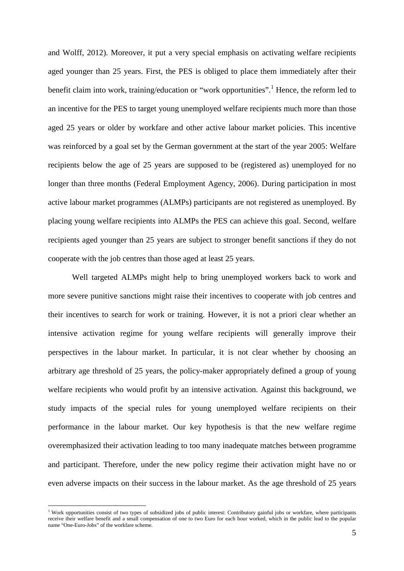and Wolff, 2012). Moreover, it put a very special emphasis on activating welfare recipients aged younger than 25 years. First, the PES is obliged to place them immediately after their benefit claim into work, training/education or "work opportunities".<sup>1</sup> Hence, the reform led to an incentive for the PES to target young unemployed welfare recipients much more than those aged 25 years or older by workfare and other active labour market policies. This incentive was reinforced by a goal set by the German government at the start of the year 2005: Welfare recipients below the age of 25 years are supposed to be (registered as) unemployed for no longer than three months (Federal Employment Agency, 2006). During participation in most active labour market programmes (ALMPs) participants are not registered as unemployed. By placing young welfare recipients into ALMPs the PES can achieve this goal. Second, welfare recipients aged younger than 25 years are subject to stronger benefit sanctions if they do not cooperate with the job centres than those aged at least 25 years.

Well targeted ALMPs might help to bring unemployed workers back to work and more severe punitive sanctions might raise their incentives to cooperate with job centres and their incentives to search for work or training. However, it is not a priori clear whether an intensive activation regime for young welfare recipients will generally improve their perspectives in the labour market. In particular, it is not clear whether by choosing an arbitrary age threshold of 25 years, the policy-maker appropriately defined a group of young welfare recipients who would profit by an intensive activation. Against this background, we study impacts of the special rules for young unemployed welfare recipients on their performance in the labour market. Our key hypothesis is that the new welfare regime overemphasized their activation leading to too many inadequate matches between programme and participant. Therefore, under the new policy regime their activation might have no or even adverse impacts on their success in the labour market. As the age threshold of 25 years

<sup>&</sup>lt;sup>1</sup> Work opportunities consist of two types of subsidized jobs of public interest: Contributory gainful jobs or workfare, where participants receive their welfare benefit and a small compensation of one to two Euro for each hour worked, which in the public lead to the popular name "One-Euro-Jobs" of the workfare scheme.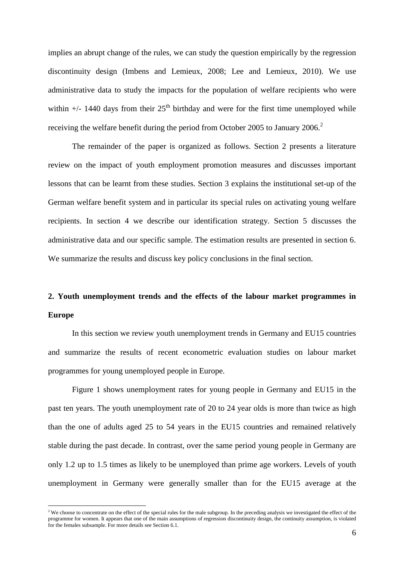implies an abrupt change of the rules, we can study the question empirically by the regression discontinuity design (Imbens and Lemieux, 2008; Lee and Lemieux, 2010). We use administrative data to study the impacts for the population of welfare recipients who were within  $+/-$  1440 days from their  $25<sup>th</sup>$  birthday and were for the first time unemployed while receiving the welfare benefit during the period from October 2005 to January 2006.<sup>2</sup>

The remainder of the paper is organized as follows. Section 2 presents a literature review on the impact of youth employment promotion measures and discusses important lessons that can be learnt from these studies. Section 3 explains the institutional set-up of the German welfare benefit system and in particular its special rules on activating young welfare recipients. In section 4 we describe our identification strategy. Section 5 discusses the administrative data and our specific sample. The estimation results are presented in section 6. We summarize the results and discuss key policy conclusions in the final section.

# **2. Youth unemployment trends and the effects of the labour market programmes in Europe**

In this section we review youth unemployment trends in Germany and EU15 countries and summarize the results of recent econometric evaluation studies on labour market programmes for young unemployed people in Europe.

Figure 1 shows unemployment rates for young people in Germany and EU15 in the past ten years. The youth unemployment rate of 20 to 24 year olds is more than twice as high than the one of adults aged 25 to 54 years in the EU15 countries and remained relatively stable during the past decade. In contrast, over the same period young people in Germany are only 1.2 up to 1.5 times as likely to be unemployed than prime age workers. Levels of youth unemployment in Germany were generally smaller than for the EU15 average at the

<sup>&</sup>lt;sup>2</sup> We choose to concentrate on the effect of the special rules for the male subgroup. In the preceding analysis we investigated the effect of the programme for women. It appears that one of the main assumptions of regression discontinuity design, the continuity assumption, is violated for the females subsample. For more details see Section 6.1.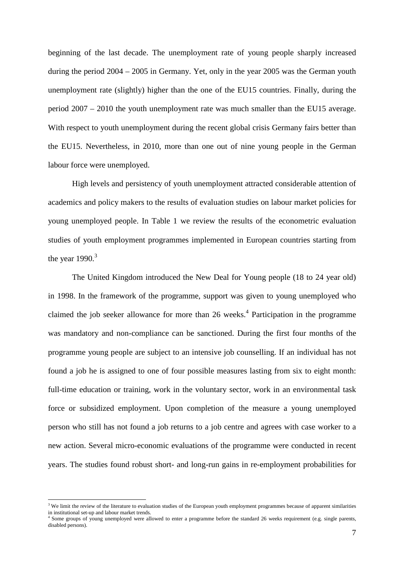beginning of the last decade. The unemployment rate of young people sharply increased during the period 2004 – 2005 in Germany. Yet, only in the year 2005 was the German youth unemployment rate (slightly) higher than the one of the EU15 countries. Finally, during the period 2007 – 2010 the youth unemployment rate was much smaller than the EU15 average. With respect to youth unemployment during the recent global crisis Germany fairs better than the EU15. Nevertheless, in 2010, more than one out of nine young people in the German labour force were unemployed.

High levels and persistency of youth unemployment attracted considerable attention of academics and policy makers to the results of evaluation studies on labour market policies for young unemployed people. In Table 1 we review the results of the econometric evaluation studies of youth employment programmes implemented in European countries starting from the year  $1990.<sup>3</sup>$ 

The United Kingdom introduced the New Deal for Young people (18 to 24 year old) in 1998. In the framework of the programme, support was given to young unemployed who claimed the job seeker allowance for more than  $26$  weeks.<sup>4</sup> Participation in the programme was mandatory and non-compliance can be sanctioned. During the first four months of the programme young people are subject to an intensive job counselling. If an individual has not found a job he is assigned to one of four possible measures lasting from six to eight month: full-time education or training, work in the voluntary sector, work in an environmental task force or subsidized employment. Upon completion of the measure a young unemployed person who still has not found a job returns to a job centre and agrees with case worker to a new action. Several micro-economic evaluations of the programme were conducted in recent years. The studies found robust short- and long-run gains in re-employment probabilities for

<sup>&</sup>lt;sup>3</sup> We limit the review of the literature to evaluation studies of the European youth employment programmes because of apparent similarities in institutional set-up and labour market trends.

<sup>&</sup>lt;sup>4</sup> Some groups of young unemployed were allowed to enter a programme before the standard 26 weeks requirement (e.g. single parents, disabled persons).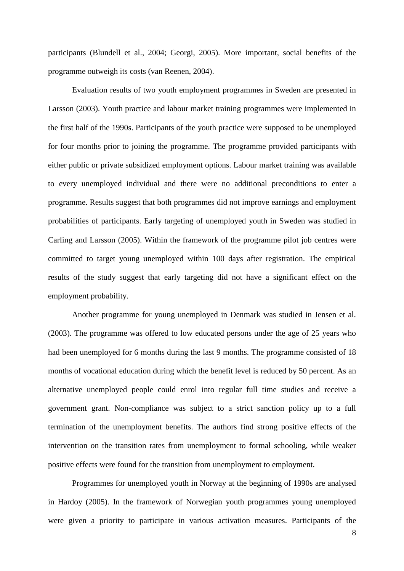participants (Blundell et al., 2004; Georgi, 2005). More important, social benefits of the programme outweigh its costs (van Reenen, 2004).

Evaluation results of two youth employment programmes in Sweden are presented in Larsson (2003). Youth practice and labour market training programmes were implemented in the first half of the 1990s. Participants of the youth practice were supposed to be unemployed for four months prior to joining the programme. The programme provided participants with either public or private subsidized employment options. Labour market training was available to every unemployed individual and there were no additional preconditions to enter a programme. Results suggest that both programmes did not improve earnings and employment probabilities of participants. Early targeting of unemployed youth in Sweden was studied in Carling and Larsson (2005). Within the framework of the programme pilot job centres were committed to target young unemployed within 100 days after registration. The empirical results of the study suggest that early targeting did not have a significant effect on the employment probability.

Another programme for young unemployed in Denmark was studied in Jensen et al. (2003). The programme was offered to low educated persons under the age of 25 years who had been unemployed for 6 months during the last 9 months. The programme consisted of 18 months of vocational education during which the benefit level is reduced by 50 percent. As an alternative unemployed people could enrol into regular full time studies and receive a government grant. Non-compliance was subject to a strict sanction policy up to a full termination of the unemployment benefits. The authors find strong positive effects of the intervention on the transition rates from unemployment to formal schooling, while weaker positive effects were found for the transition from unemployment to employment.

Programmes for unemployed youth in Norway at the beginning of 1990s are analysed in Hardoy (2005). In the framework of Norwegian youth programmes young unemployed were given a priority to participate in various activation measures. Participants of the

8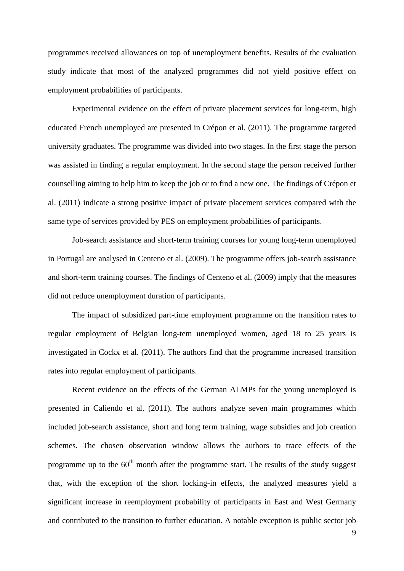programmes received allowances on top of unemployment benefits. Results of the evaluation study indicate that most of the analyzed programmes did not yield positive effect on employment probabilities of participants.

Experimental evidence on the effect of private placement services for long-term, high educated French unemployed are presented in Crépon et al. (2011). The programme targeted university graduates. The programme was divided into two stages. In the first stage the person was assisted in finding a regular employment. In the second stage the person received further counselling aiming to help him to keep the job or to find a new one. The findings of Crépon et al. (2011) indicate a strong positive impact of private placement services compared with the same type of services provided by PES on employment probabilities of participants.

Job-search assistance and short-term training courses for young long-term unemployed in Portugal are analysed in Centeno et al. (2009). The programme offers job-search assistance and short-term training courses. The findings of Centeno et al. (2009) imply that the measures did not reduce unemployment duration of participants.

The impact of subsidized part-time employment programme on the transition rates to regular employment of Belgian long-tem unemployed women, aged 18 to 25 years is investigated in Cockx et al. (2011). The authors find that the programme increased transition rates into regular employment of participants.

Recent evidence on the effects of the German ALMPs for the young unemployed is presented in Caliendo et al. (2011). The authors analyze seven main programmes which included job-search assistance, short and long term training, wage subsidies and job creation schemes. The chosen observation window allows the authors to trace effects of the programme up to the  $60<sup>th</sup>$  month after the programme start. The results of the study suggest that, with the exception of the short locking-in effects, the analyzed measures yield a significant increase in reemployment probability of participants in East and West Germany and contributed to the transition to further education. A notable exception is public sector job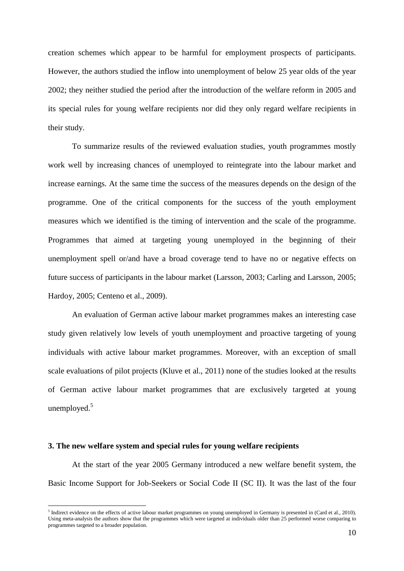creation schemes which appear to be harmful for employment prospects of participants. However, the authors studied the inflow into unemployment of below 25 year olds of the year 2002; they neither studied the period after the introduction of the welfare reform in 2005 and its special rules for young welfare recipients nor did they only regard welfare recipients in their study.

To summarize results of the reviewed evaluation studies, youth programmes mostly work well by increasing chances of unemployed to reintegrate into the labour market and increase earnings. At the same time the success of the measures depends on the design of the programme. One of the critical components for the success of the youth employment measures which we identified is the timing of intervention and the scale of the programme. Programmes that aimed at targeting young unemployed in the beginning of their unemployment spell or/and have a broad coverage tend to have no or negative effects on future success of participants in the labour market (Larsson, 2003; Carling and Larsson, 2005; Hardoy, 2005; Centeno et al., 2009).

An evaluation of German active labour market programmes makes an interesting case study given relatively low levels of youth unemployment and proactive targeting of young individuals with active labour market programmes. Moreover, with an exception of small scale evaluations of pilot projects (Kluve et al., 2011) none of the studies looked at the results of German active labour market programmes that are exclusively targeted at young unemployed. $5$ 

#### **3. The new welfare system and special rules for young welfare recipients**

l

At the start of the year 2005 Germany introduced a new welfare benefit system, the Basic Income Support for Job-Seekers or Social Code II (SC II). It was the last of the four

<sup>&</sup>lt;sup>5</sup> Indirect evidence on the effects of active labour market programmes on young unemployed in Germany is presented in (Card et al., 2010). Using meta-analysis the authors show that the programmes which were targeted at individuals older than 25 performed worse comparing to programmes targeted to a broader population.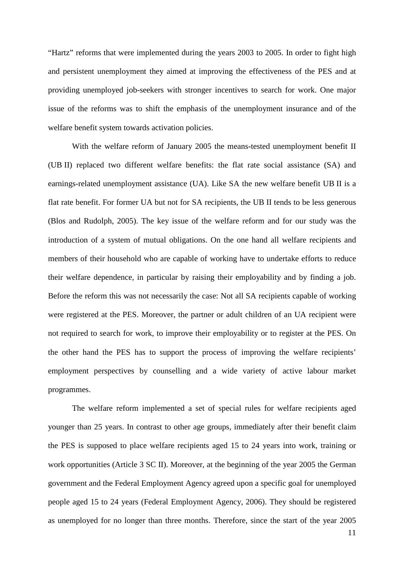"Hartz" reforms that were implemented during the years 2003 to 2005. In order to fight high and persistent unemployment they aimed at improving the effectiveness of the PES and at providing unemployed job-seekers with stronger incentives to search for work. One major issue of the reforms was to shift the emphasis of the unemployment insurance and of the welfare benefit system towards activation policies.

With the welfare reform of January 2005 the means-tested unemployment benefit II (UB II) replaced two different welfare benefits: the flat rate social assistance (SA) and earnings-related unemployment assistance (UA). Like SA the new welfare benefit UB II is a flat rate benefit. For former UA but not for SA recipients, the UB II tends to be less generous (Blos and Rudolph, 2005). The key issue of the welfare reform and for our study was the introduction of a system of mutual obligations. On the one hand all welfare recipients and members of their household who are capable of working have to undertake efforts to reduce their welfare dependence, in particular by raising their employability and by finding a job. Before the reform this was not necessarily the case: Not all SA recipients capable of working were registered at the PES. Moreover, the partner or adult children of an UA recipient were not required to search for work, to improve their employability or to register at the PES. On the other hand the PES has to support the process of improving the welfare recipients' employment perspectives by counselling and a wide variety of active labour market programmes.

The welfare reform implemented a set of special rules for welfare recipients aged younger than 25 years. In contrast to other age groups, immediately after their benefit claim the PES is supposed to place welfare recipients aged 15 to 24 years into work, training or work opportunities (Article 3 SC II). Moreover, at the beginning of the year 2005 the German government and the Federal Employment Agency agreed upon a specific goal for unemployed people aged 15 to 24 years (Federal Employment Agency, 2006). They should be registered as unemployed for no longer than three months. Therefore, since the start of the year 2005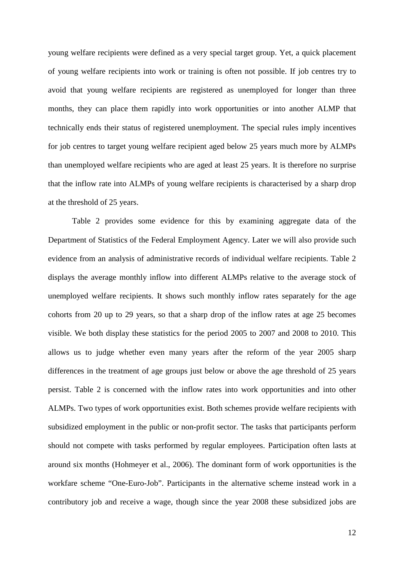young welfare recipients were defined as a very special target group. Yet, a quick placement of young welfare recipients into work or training is often not possible. If job centres try to avoid that young welfare recipients are registered as unemployed for longer than three months, they can place them rapidly into work opportunities or into another ALMP that technically ends their status of registered unemployment. The special rules imply incentives for job centres to target young welfare recipient aged below 25 years much more by ALMPs than unemployed welfare recipients who are aged at least 25 years. It is therefore no surprise that the inflow rate into ALMPs of young welfare recipients is characterised by a sharp drop at the threshold of 25 years.

Table 2 provides some evidence for this by examining aggregate data of the Department of Statistics of the Federal Employment Agency. Later we will also provide such evidence from an analysis of administrative records of individual welfare recipients. Table 2 displays the average monthly inflow into different ALMPs relative to the average stock of unemployed welfare recipients. It shows such monthly inflow rates separately for the age cohorts from 20 up to 29 years, so that a sharp drop of the inflow rates at age 25 becomes visible. We both display these statistics for the period 2005 to 2007 and 2008 to 2010. This allows us to judge whether even many years after the reform of the year 2005 sharp differences in the treatment of age groups just below or above the age threshold of 25 years persist. Table 2 is concerned with the inflow rates into work opportunities and into other ALMPs. Two types of work opportunities exist. Both schemes provide welfare recipients with subsidized employment in the public or non-profit sector. The tasks that participants perform should not compete with tasks performed by regular employees. Participation often lasts at around six months (Hohmeyer et al., 2006). The dominant form of work opportunities is the workfare scheme "One-Euro-Job". Participants in the alternative scheme instead work in a contributory job and receive a wage, though since the year 2008 these subsidized jobs are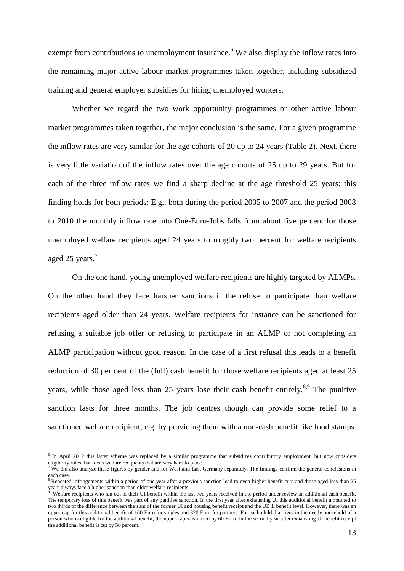exempt from contributions to unemployment insurance.<sup>6</sup> We also display the inflow rates into the remaining major active labour market programmes taken together, including subsidized training and general employer subsidies for hiring unemployed workers.

Whether we regard the two work opportunity programmes or other active labour market programmes taken together, the major conclusion is the same. For a given programme the inflow rates are very similar for the age cohorts of 20 up to 24 years (Table 2). Next, there is very little variation of the inflow rates over the age cohorts of 25 up to 29 years. But for each of the three inflow rates we find a sharp decline at the age threshold 25 years; this finding holds for both periods: E.g., both during the period 2005 to 2007 and the period 2008 to 2010 the monthly inflow rate into One-Euro-Jobs falls from about five percent for those unemployed welfare recipients aged 24 years to roughly two percent for welfare recipients aged 25 years.<sup>7</sup>

On the one hand, young unemployed welfare recipients are highly targeted by ALMPs. On the other hand they face harsher sanctions if the refuse to participate than welfare recipients aged older than 24 years. Welfare recipients for instance can be sanctioned for refusing a suitable job offer or refusing to participate in an ALMP or not completing an ALMP participation without good reason. In the case of a first refusal this leads to a benefit reduction of 30 per cent of the (full) cash benefit for those welfare recipients aged at least 25 years, while those aged less than 25 years lose their cash benefit entirely.<sup>8,9</sup> The punitive sanction lasts for three months. The job centres though can provide some relief to a sanctioned welfare recipient, e.g. by providing them with a non-cash benefit like food stamps.

 $\overline{a}$ 

<sup>&</sup>lt;sup>6</sup> In April 2012 this latter scheme was replaced by a similar programme that subsidizes contributory employment, but now considers eligibility rules that focus welfare recipients that are very hard to place.

<sup>7</sup> We did also analyze these figures by gender and for West and East Germany separately. The findings confirm the general conclusions in each case.

<sup>&</sup>lt;sup>8</sup> Repeated infringements within a period of one year after a previous sanction lead to even higher benefit cuts and those aged less than 25 years always face a higher sanction than older welfare recipients.<br><sup>9</sup> Welfare recipients who ran out of their UI benefit within the la

Welfare recipients who ran out of their UI benefit within the last two years received in the period under review an additional cash benefit. The temporary loss of this benefit was part of any punitive sanction. In the first year after exhausting UI this additional benefit amounted to two thirds of the difference between the sum of the former UI and housing benefit receipt and the UB II benefit level. However, there was an upper cap for this additional benefit of 160 Euro for singles and 320 Euro for partners. For each child that lives in the needy household of a person who is eligible for the additional benefit, the upper cap was raised by 60 Euro. In the second year after exhausting UI benefit receipt the additional benefit is cut by 50 percent.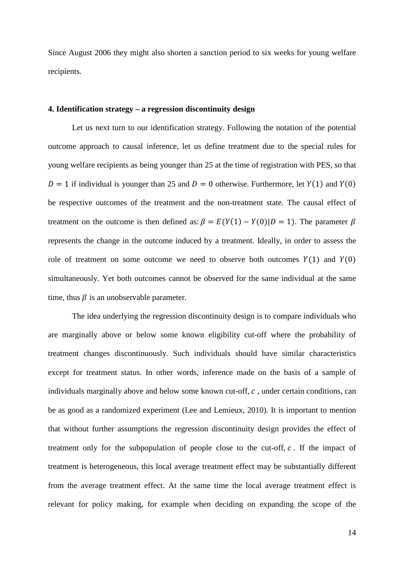Since August 2006 they might also shorten a sanction period to six weeks for young welfare recipients.

# **4. Identification strategy – a regression discontinuity design**

Let us next turn to our identification strategy. Following the notation of the potential outcome approach to causal inference, let us define treatment due to the special rules for young welfare recipients as being younger than 25 at the time of registration with PES, so that  $D = 1$  if individual is younger than 25 and  $D = 0$  otherwise. Furthermore, let  $Y(1)$  and  $Y(0)$ be respective outcomes of the treatment and the non-treatment state. The causal effect of treatment on the outcome is then defined as:  $\beta = E(Y(1) - Y(0) | D = 1)$ . The parameter  $\beta$ represents the change in the outcome induced by a treatment. Ideally, in order to assess the role of treatment on some outcome we need to observe both outcomes  $Y(1)$  and  $Y(0)$ simultaneously. Yet both outcomes cannot be observed for the same individual at the same time, thus  $\beta$  is an unobservable parameter.

The idea underlying the regression discontinuity design is to compare individuals who are marginally above or below some known eligibility cut-off where the probability of treatment changes discontinuously. Such individuals should have similar characteristics except for treatment status. In other words, inference made on the basis of a sample of individuals marginally above and below some known cut-off,  $c$ , under certain conditions, can be as good as a randomized experiment (Lee and Lemieux, 2010). It is important to mention that without further assumptions the regression discontinuity design provides the effect of treatment only for the subpopulation of people close to the cut-off,  $c$ . If the impact of treatment is heterogeneous, this local average treatment effect may be substantially different from the average treatment effect. At the same time the local average treatment effect is relevant for policy making, for example when deciding on expanding the scope of the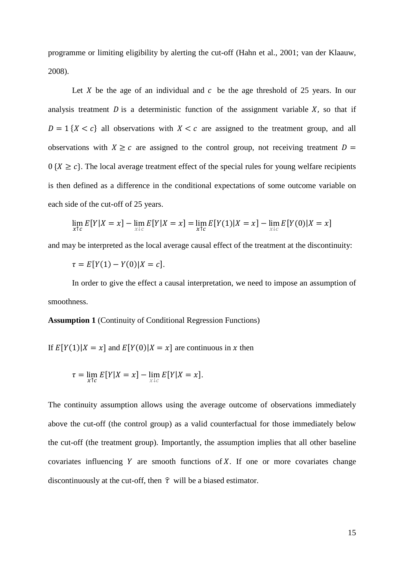programme or limiting eligibility by alerting the cut-off (Hahn et al., 2001; van der Klaauw, 2008).

Let X be the age of an individual and  $c$  be the age threshold of 25 years. In our analysis treatment  $D$  is a deterministic function of the assignment variable  $X$ , so that if  $D = 1$  { $X < c$ } all observations with  $X < c$  are assigned to the treatment group, and all observations with  $X \geq c$  are assigned to the control group, not receiving treatment  $D =$  $0 \{X \ge c\}$ . The local average treatment effect of the special rules for young welfare recipients is then defined as a difference in the conditional expectations of some outcome variable on each side of the cut-off of 25 years.

$$
\lim_{x \uparrow c} E[Y|X = x] - \lim_{x \downarrow c} E[Y|X = x] = \lim_{x \uparrow c} E[Y(1)|X = x] - \lim_{x \downarrow c} E[Y(0)|X = x]
$$

and may be interpreted as the local average causal effect of the treatment at the discontinuity:

$$
\tau = E[Y(1) - Y(0)|X = c].
$$

In order to give the effect a causal interpretation, we need to impose an assumption of smoothness.

**Assumption 1** (Continuity of Conditional Regression Functions)

If  $E[Y(1)|X = x]$  and  $E[Y(0)|X = x]$  are continuous in x then

$$
\tau = \lim_{x \uparrow c} E[Y|X = x] - \lim_{x \downarrow c} E[Y|X = x].
$$

The continuity assumption allows using the average outcome of observations immediately above the cut-off (the control group) as a valid counterfactual for those immediately below the cut-off (the treatment group). Importantly, the assumption implies that all other baseline covariates influencing  $Y$  are smooth functions of  $X$ . If one or more covariates change discontinuously at the cut-off, then  $\hat{\tau}$  will be a biased estimator.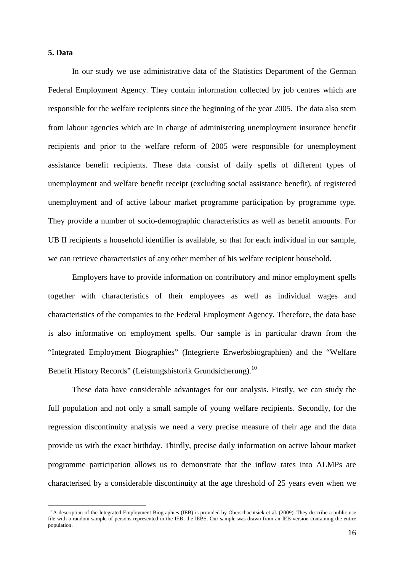# **5. Data**

l

In our study we use administrative data of the Statistics Department of the German Federal Employment Agency. They contain information collected by job centres which are responsible for the welfare recipients since the beginning of the year 2005. The data also stem from labour agencies which are in charge of administering unemployment insurance benefit recipients and prior to the welfare reform of 2005 were responsible for unemployment assistance benefit recipients. These data consist of daily spells of different types of unemployment and welfare benefit receipt (excluding social assistance benefit), of registered unemployment and of active labour market programme participation by programme type. They provide a number of socio-demographic characteristics as well as benefit amounts. For UB II recipients a household identifier is available, so that for each individual in our sample, we can retrieve characteristics of any other member of his welfare recipient household.

Employers have to provide information on contributory and minor employment spells together with characteristics of their employees as well as individual wages and characteristics of the companies to the Federal Employment Agency. Therefore, the data base is also informative on employment spells. Our sample is in particular drawn from the "Integrated Employment Biographies" (Integrierte Erwerbsbiographien) and the "Welfare Benefit History Records" (Leistungshistorik Grundsicherung).<sup>10</sup>

These data have considerable advantages for our analysis. Firstly, we can study the full population and not only a small sample of young welfare recipients. Secondly, for the regression discontinuity analysis we need a very precise measure of their age and the data provide us with the exact birthday. Thirdly, precise daily information on active labour market programme participation allows us to demonstrate that the inflow rates into ALMPs are characterised by a considerable discontinuity at the age threshold of 25 years even when we

<sup>&</sup>lt;sup>10</sup> A description of the Integrated Employment Biographies (IEB) is provided by Oberschachtsiek et al. (2009). They describe a public use file with a random sample of persons represented in the IEB, the IEBS. Our sample was drawn from an IEB version containing the entire population.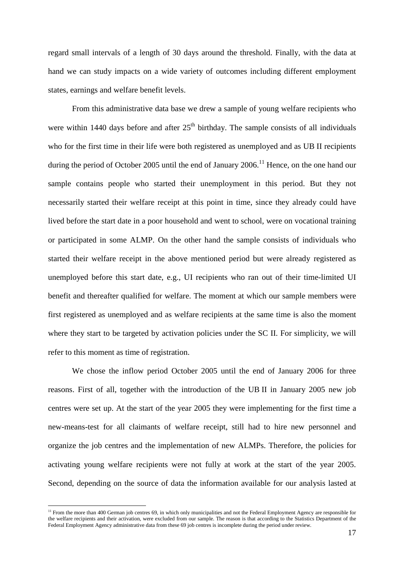regard small intervals of a length of 30 days around the threshold. Finally, with the data at hand we can study impacts on a wide variety of outcomes including different employment states, earnings and welfare benefit levels.

From this administrative data base we drew a sample of young welfare recipients who were within 1440 days before and after  $25<sup>th</sup>$  birthday. The sample consists of all individuals who for the first time in their life were both registered as unemployed and as UB II recipients during the period of October 2005 until the end of January 2006.<sup>11</sup> Hence, on the one hand our sample contains people who started their unemployment in this period. But they not necessarily started their welfare receipt at this point in time, since they already could have lived before the start date in a poor household and went to school, were on vocational training or participated in some ALMP. On the other hand the sample consists of individuals who started their welfare receipt in the above mentioned period but were already registered as unemployed before this start date, e.g., UI recipients who ran out of their time-limited UI benefit and thereafter qualified for welfare. The moment at which our sample members were first registered as unemployed and as welfare recipients at the same time is also the moment where they start to be targeted by activation policies under the SC II. For simplicity, we will refer to this moment as time of registration.

We chose the inflow period October 2005 until the end of January 2006 for three reasons. First of all, together with the introduction of the UB II in January 2005 new job centres were set up. At the start of the year 2005 they were implementing for the first time a new-means-test for all claimants of welfare receipt, still had to hire new personnel and organize the job centres and the implementation of new ALMPs. Therefore, the policies for activating young welfare recipients were not fully at work at the start of the year 2005. Second, depending on the source of data the information available for our analysis lasted at

<sup>&</sup>lt;sup>11</sup> From the more than 400 German job centres 69, in which only municipalities and not the Federal Employment Agency are responsible for the welfare recipients and their activation, were excluded from our sample. The reason is that according to the Statistics Department of the Federal Employment Agency administrative data from these 69 job centres is incomplete during the period under review.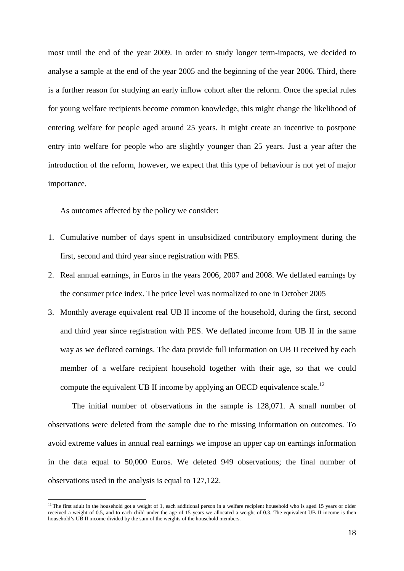most until the end of the year 2009. In order to study longer term-impacts, we decided to analyse a sample at the end of the year 2005 and the beginning of the year 2006. Third, there is a further reason for studying an early inflow cohort after the reform. Once the special rules for young welfare recipients become common knowledge, this might change the likelihood of entering welfare for people aged around 25 years. It might create an incentive to postpone entry into welfare for people who are slightly younger than 25 years. Just a year after the introduction of the reform, however, we expect that this type of behaviour is not yet of major importance.

As outcomes affected by the policy we consider:

l

- 1. Cumulative number of days spent in unsubsidized contributory employment during the first, second and third year since registration with PES.
- 2. Real annual earnings, in Euros in the years 2006, 2007 and 2008. We deflated earnings by the consumer price index. The price level was normalized to one in October 2005
- 3. Monthly average equivalent real UB II income of the household, during the first, second and third year since registration with PES. We deflated income from UB II in the same way as we deflated earnings. The data provide full information on UB II received by each member of a welfare recipient household together with their age, so that we could compute the equivalent UB II income by applying an OECD equivalence scale.<sup>12</sup>

The initial number of observations in the sample is 128,071. A small number of observations were deleted from the sample due to the missing information on outcomes. To avoid extreme values in annual real earnings we impose an upper cap on earnings information in the data equal to 50,000 Euros. We deleted 949 observations; the final number of observations used in the analysis is equal to 127,122.

 $12$ <sup>12</sup> The first adult in the household got a weight of 1, each additional person in a welfare recipient household who is aged 15 years or older received a weight of 0.5, and to each child under the age of 15 years we allocated a weight of 0.3. The equivalent UB II income is then household's UB II income divided by the sum of the weights of the household members.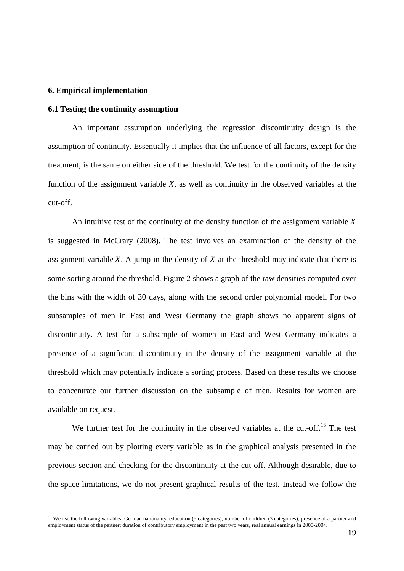#### **6. Empirical implementation**

l

# **6.1 Testing the continuity assumption**

An important assumption underlying the regression discontinuity design is the assumption of continuity. Essentially it implies that the influence of all factors, except for the treatment, is the same on either side of the threshold. We test for the continuity of the density function of the assignment variable  $X$ , as well as continuity in the observed variables at the cut-off.

An intuitive test of the continuity of the density function of the assignment variable  $X$ is suggested in McCrary (2008). The test involves an examination of the density of the assignment variable  $X$ . A jump in the density of  $X$  at the threshold may indicate that there is some sorting around the threshold. Figure 2 shows a graph of the raw densities computed over the bins with the width of 30 days, along with the second order polynomial model. For two subsamples of men in East and West Germany the graph shows no apparent signs of discontinuity. A test for a subsample of women in East and West Germany indicates a presence of a significant discontinuity in the density of the assignment variable at the threshold which may potentially indicate a sorting process. Based on these results we choose to concentrate our further discussion on the subsample of men. Results for women are available on request.

We further test for the continuity in the observed variables at the cut-off.<sup>13</sup> The test may be carried out by plotting every variable as in the graphical analysis presented in the previous section and checking for the discontinuity at the cut-off. Although desirable, due to the space limitations, we do not present graphical results of the test. Instead we follow the

<sup>&</sup>lt;sup>13</sup> We use the following variables: German nationality, education (5 categories); number of children (3 categories); presence of a partner and employment status of the partner; duration of contributory employment in the past two years, real annual earnings in 2000-2004.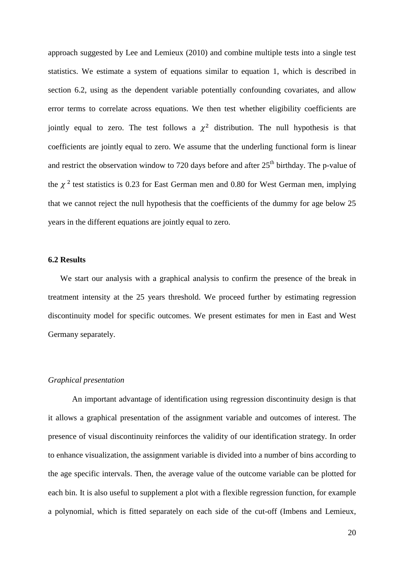approach suggested by Lee and Lemieux (2010) and combine multiple tests into a single test statistics. We estimate a system of equations similar to equation 1, which is described in section 6.2, using as the dependent variable potentially confounding covariates, and allow error terms to correlate across equations. We then test whether eligibility coefficients are jointly equal to zero. The test follows a  $\chi^2$  distribution. The null hypothesis is that coefficients are jointly equal to zero. We assume that the underling functional form is linear and restrict the observation window to 720 days before and after  $25<sup>th</sup>$  birthday. The p-value of the  $\chi^2$  test statistics is 0.23 for East German men and 0.80 for West German men, implying that we cannot reject the null hypothesis that the coefficients of the dummy for age below 25 years in the different equations are jointly equal to zero.

# **6.2 Results**

We start our analysis with a graphical analysis to confirm the presence of the break in treatment intensity at the 25 years threshold. We proceed further by estimating regression discontinuity model for specific outcomes. We present estimates for men in East and West Germany separately.

## *Graphical presentation*

An important advantage of identification using regression discontinuity design is that it allows a graphical presentation of the assignment variable and outcomes of interest. The presence of visual discontinuity reinforces the validity of our identification strategy. In order to enhance visualization, the assignment variable is divided into a number of bins according to the age specific intervals. Then, the average value of the outcome variable can be plotted for each bin. It is also useful to supplement a plot with a flexible regression function, for example a polynomial, which is fitted separately on each side of the cut-off (Imbens and Lemieux,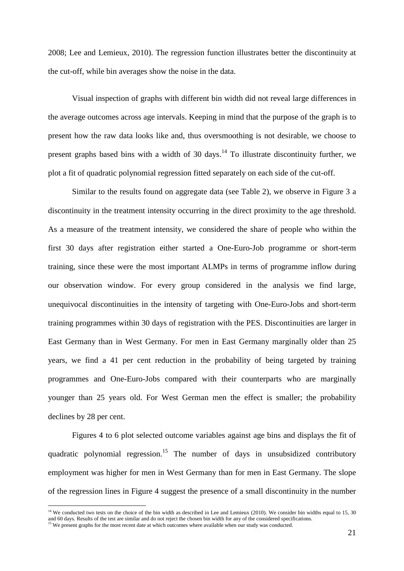2008; Lee and Lemieux, 2010). The regression function illustrates better the discontinuity at the cut-off, while bin averages show the noise in the data.

Visual inspection of graphs with different bin width did not reveal large differences in the average outcomes across age intervals. Keeping in mind that the purpose of the graph is to present how the raw data looks like and, thus oversmoothing is not desirable, we choose to present graphs based bins with a width of 30 days.<sup>14</sup> To illustrate discontinuity further, we plot a fit of quadratic polynomial regression fitted separately on each side of the cut-off.

Similar to the results found on aggregate data (see Table 2), we observe in Figure 3 a discontinuity in the treatment intensity occurring in the direct proximity to the age threshold. As a measure of the treatment intensity, we considered the share of people who within the first 30 days after registration either started a One-Euro-Job programme or short-term training, since these were the most important ALMPs in terms of programme inflow during our observation window. For every group considered in the analysis we find large, unequivocal discontinuities in the intensity of targeting with One-Euro-Jobs and short-term training programmes within 30 days of registration with the PES. Discontinuities are larger in East Germany than in West Germany. For men in East Germany marginally older than 25 years, we find a 41 per cent reduction in the probability of being targeted by training programmes and One-Euro-Jobs compared with their counterparts who are marginally younger than 25 years old. For West German men the effect is smaller; the probability declines by 28 per cent.

Figures 4 to 6 plot selected outcome variables against age bins and displays the fit of quadratic polynomial regression.<sup>15</sup> The number of days in unsubsidized contributory employment was higher for men in West Germany than for men in East Germany. The slope of the regression lines in Figure 4 suggest the presence of a small discontinuity in the number

 $14$  We conducted two tests on the choice of the bin width as described in Lee and Lemieux (2010). We consider bin widths equal to 15, 30 and 60 days. Results of the test are similar and do not reject the chosen bin width for any of the considered specifications.<br><sup>15</sup> We present graphs for the most recent date at which outcomes where available when our study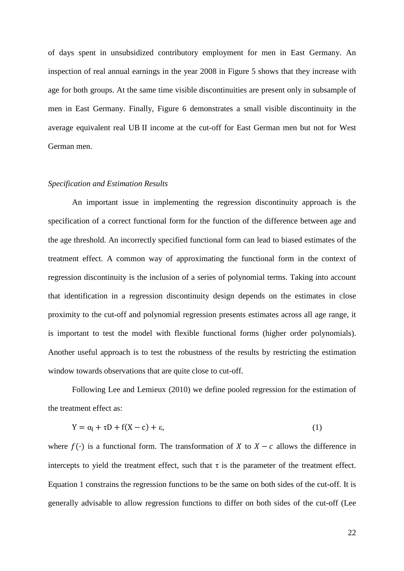of days spent in unsubsidized contributory employment for men in East Germany. An inspection of real annual earnings in the year 2008 in Figure 5 shows that they increase with age for both groups. At the same time visible discontinuities are present only in subsample of men in East Germany. Finally, Figure 6 demonstrates a small visible discontinuity in the average equivalent real UB II income at the cut-off for East German men but not for West German men.

## *Specification and Estimation Results*

An important issue in implementing the regression discontinuity approach is the specification of a correct functional form for the function of the difference between age and the age threshold. An incorrectly specified functional form can lead to biased estimates of the treatment effect. A common way of approximating the functional form in the context of regression discontinuity is the inclusion of a series of polynomial terms. Taking into account that identification in a regression discontinuity design depends on the estimates in close proximity to the cut-off and polynomial regression presents estimates across all age range, it is important to test the model with flexible functional forms (higher order polynomials). Another useful approach is to test the robustness of the results by restricting the estimation window towards observations that are quite close to cut-off.

Following Lee and Lemieux (2010) we define pooled regression for the estimation of the treatment effect as:

$$
Y = \alpha_1 + \tau D + f(X - c) + \varepsilon,\tag{1}
$$

where  $f(\cdot)$  is a functional form. The transformation of X to  $X - c$  allows the difference in intercepts to yield the treatment effect, such that  $\tau$  is the parameter of the treatment effect. Equation 1 constrains the regression functions to be the same on both sides of the cut-off. It is generally advisable to allow regression functions to differ on both sides of the cut-off (Lee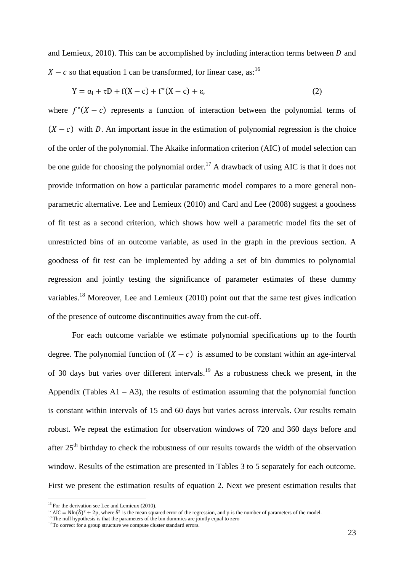and Lemieux,  $2010$ ). This can be accomplished by including interaction terms between  $D$  and  $X - c$  so that equation 1 can be transformed, for linear case, as:<sup>16</sup>

$$
Y = \alpha_1 + \tau D + f(X - c) + f^*(X - c) + \varepsilon,\tag{2}
$$

where  $f^*(X - c)$  represents a function of interaction between the polynomial terms of  $(X - c)$  with D. An important issue in the estimation of polynomial regression is the choice of the order of the polynomial. The Akaike information criterion (AIC) of model selection can be one guide for choosing the polynomial order.<sup>17</sup> A drawback of using AIC is that it does not provide information on how a particular parametric model compares to a more general nonparametric alternative. Lee and Lemieux (2010) and Card and Lee (2008) suggest a goodness of fit test as a second criterion, which shows how well a parametric model fits the set of unrestricted bins of an outcome variable, as used in the graph in the previous section. A goodness of fit test can be implemented by adding a set of bin dummies to polynomial regression and jointly testing the significance of parameter estimates of these dummy variables.<sup>18</sup> Moreover, Lee and Lemieux (2010) point out that the same test gives indication of the presence of outcome discontinuities away from the cut-off.

For each outcome variable we estimate polynomial specifications up to the fourth degree. The polynomial function of  $(X - c)$  is assumed to be constant within an age-interval of 30 days but varies over different intervals.<sup>19</sup> As a robustness check we present, in the Appendix (Tables  $A1 - A3$ ), the results of estimation assuming that the polynomial function is constant within intervals of 15 and 60 days but varies across intervals. Our results remain robust. We repeat the estimation for observation windows of 720 and 360 days before and after  $25<sup>th</sup>$  birthday to check the robustness of our results towards the width of the observation window. Results of the estimation are presented in Tables 3 to 5 separately for each outcome. First we present the estimation results of equation 2. Next we present estimation results that

 $16$  For the derivation see Lee and Lemieux (2010).

<sup>&</sup>lt;sup>17</sup> AIC = Nln( $\delta$ )<sup>2</sup> + 2p, where  $\delta$ <sup>2</sup> is the mean squared error of the regression, and p is the number of parameters of the model.

 $18$  The null hypothesis is that the parameters of the bin dummies are jointly equal to zero

 $19$  To correct for a group structure we compute cluster standard errors.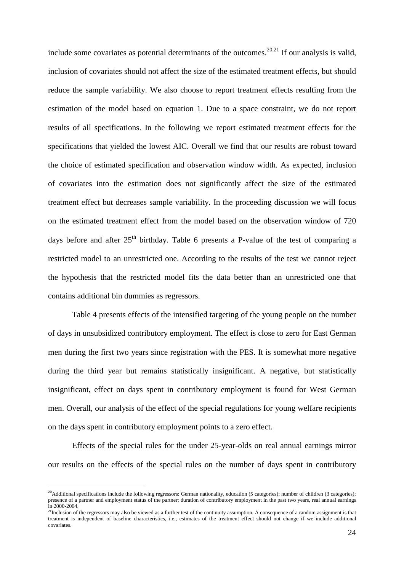include some covariates as potential determinants of the outcomes.<sup>20,21</sup> If our analysis is valid, inclusion of covariates should not affect the size of the estimated treatment effects, but should reduce the sample variability. We also choose to report treatment effects resulting from the estimation of the model based on equation 1. Due to a space constraint, we do not report results of all specifications. In the following we report estimated treatment effects for the specifications that yielded the lowest AIC. Overall we find that our results are robust toward the choice of estimated specification and observation window width. As expected, inclusion of covariates into the estimation does not significantly affect the size of the estimated treatment effect but decreases sample variability. In the proceeding discussion we will focus on the estimated treatment effect from the model based on the observation window of 720 days before and after  $25<sup>th</sup>$  birthday. Table 6 presents a P-value of the test of comparing a restricted model to an unrestricted one. According to the results of the test we cannot reject the hypothesis that the restricted model fits the data better than an unrestricted one that contains additional bin dummies as regressors.

Table 4 presents effects of the intensified targeting of the young people on the number of days in unsubsidized contributory employment. The effect is close to zero for East German men during the first two years since registration with the PES. It is somewhat more negative during the third year but remains statistically insignificant. A negative, but statistically insignificant, effect on days spent in contributory employment is found for West German men. Overall, our analysis of the effect of the special regulations for young welfare recipients on the days spent in contributory employment points to a zero effect.

Effects of the special rules for the under 25-year-olds on real annual earnings mirror our results on the effects of the special rules on the number of days spent in contributory

 $^{20}$ Additional specifications include the following regressors: German nationality, education (5 categories); number of children (3 categories); presence of a partner and employment status of the partner; duration of contributory employment in the past two years, real annual earnings in 2000-2004.

 $21$ Inclusion of the regressors may also be viewed as a further test of the continuity assumption. A consequence of a random assignment is that treatment is independent of baseline characteristics, i.e., estimates of the treatment effect should not change if we include additional covariates.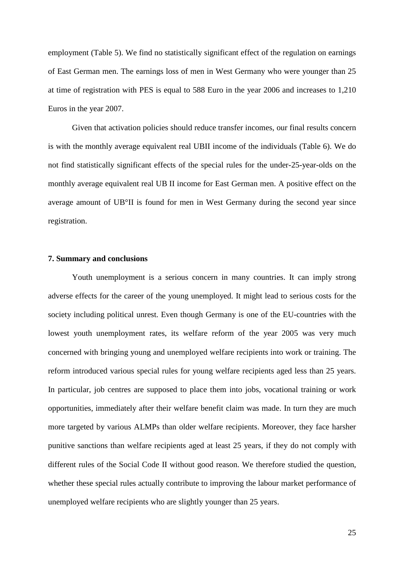employment (Table 5). We find no statistically significant effect of the regulation on earnings of East German men. The earnings loss of men in West Germany who were younger than 25 at time of registration with PES is equal to 588 Euro in the year 2006 and increases to 1,210 Euros in the year 2007.

Given that activation policies should reduce transfer incomes, our final results concern is with the monthly average equivalent real UBII income of the individuals (Table 6). We do not find statistically significant effects of the special rules for the under-25-year-olds on the monthly average equivalent real UB II income for East German men. A positive effect on the average amount of UB°II is found for men in West Germany during the second year since registration.

# **7. Summary and conclusions**

Youth unemployment is a serious concern in many countries. It can imply strong adverse effects for the career of the young unemployed. It might lead to serious costs for the society including political unrest. Even though Germany is one of the EU-countries with the lowest youth unemployment rates, its welfare reform of the year 2005 was very much concerned with bringing young and unemployed welfare recipients into work or training. The reform introduced various special rules for young welfare recipients aged less than 25 years. In particular, job centres are supposed to place them into jobs, vocational training or work opportunities, immediately after their welfare benefit claim was made. In turn they are much more targeted by various ALMPs than older welfare recipients. Moreover, they face harsher punitive sanctions than welfare recipients aged at least 25 years, if they do not comply with different rules of the Social Code II without good reason. We therefore studied the question, whether these special rules actually contribute to improving the labour market performance of unemployed welfare recipients who are slightly younger than 25 years.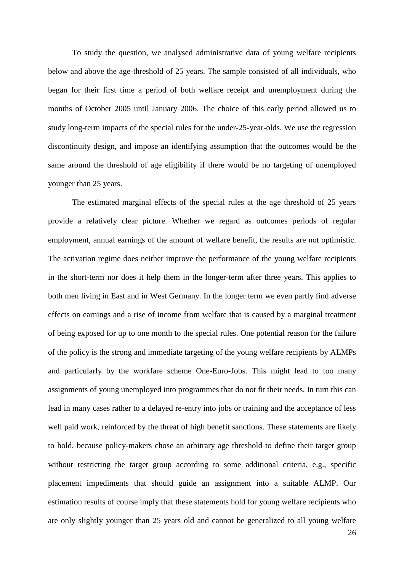To study the question, we analysed administrative data of young welfare recipients below and above the age-threshold of 25 years. The sample consisted of all individuals, who began for their first time a period of both welfare receipt and unemployment during the months of October 2005 until January 2006. The choice of this early period allowed us to study long-term impacts of the special rules for the under-25-year-olds. We use the regression discontinuity design, and impose an identifying assumption that the outcomes would be the same around the threshold of age eligibility if there would be no targeting of unemployed younger than 25 years.

The estimated marginal effects of the special rules at the age threshold of 25 years provide a relatively clear picture. Whether we regard as outcomes periods of regular employment, annual earnings of the amount of welfare benefit, the results are not optimistic. The activation regime does neither improve the performance of the young welfare recipients in the short-term nor does it help them in the longer-term after three years. This applies to both men living in East and in West Germany. In the longer term we even partly find adverse effects on earnings and a rise of income from welfare that is caused by a marginal treatment of being exposed for up to one month to the special rules. One potential reason for the failure of the policy is the strong and immediate targeting of the young welfare recipients by ALMPs and particularly by the workfare scheme One-Euro-Jobs. This might lead to too many assignments of young unemployed into programmes that do not fit their needs. In turn this can lead in many cases rather to a delayed re-entry into jobs or training and the acceptance of less well paid work, reinforced by the threat of high benefit sanctions. These statements are likely to hold, because policy-makers chose an arbitrary age threshold to define their target group without restricting the target group according to some additional criteria, e.g., specific placement impediments that should guide an assignment into a suitable ALMP. Our estimation results of course imply that these statements hold for young welfare recipients who are only slightly younger than 25 years old and cannot be generalized to all young welfare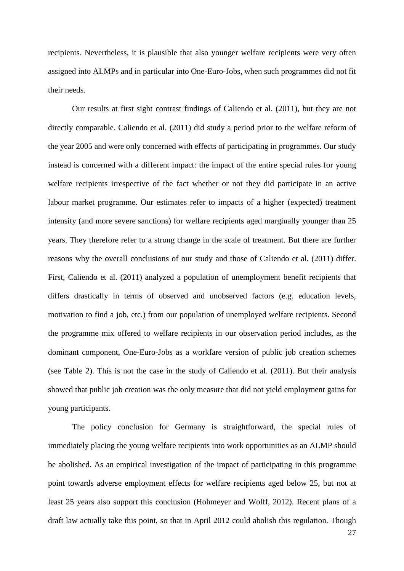recipients. Nevertheless, it is plausible that also younger welfare recipients were very often assigned into ALMPs and in particular into One-Euro-Jobs, when such programmes did not fit their needs.

Our results at first sight contrast findings of Caliendo et al. (2011), but they are not directly comparable. Caliendo et al. (2011) did study a period prior to the welfare reform of the year 2005 and were only concerned with effects of participating in programmes. Our study instead is concerned with a different impact: the impact of the entire special rules for young welfare recipients irrespective of the fact whether or not they did participate in an active labour market programme. Our estimates refer to impacts of a higher (expected) treatment intensity (and more severe sanctions) for welfare recipients aged marginally younger than 25 years. They therefore refer to a strong change in the scale of treatment. But there are further reasons why the overall conclusions of our study and those of Caliendo et al. (2011) differ. First, Caliendo et al. (2011) analyzed a population of unemployment benefit recipients that differs drastically in terms of observed and unobserved factors (e.g. education levels, motivation to find a job, etc.) from our population of unemployed welfare recipients. Second the programme mix offered to welfare recipients in our observation period includes, as the dominant component, One-Euro-Jobs as a workfare version of public job creation schemes (see Table 2). This is not the case in the study of Caliendo et al. (2011). But their analysis showed that public job creation was the only measure that did not yield employment gains for young participants.

The policy conclusion for Germany is straightforward, the special rules of immediately placing the young welfare recipients into work opportunities as an ALMP should be abolished. As an empirical investigation of the impact of participating in this programme point towards adverse employment effects for welfare recipients aged below 25, but not at least 25 years also support this conclusion (Hohmeyer and Wolff, 2012). Recent plans of a draft law actually take this point, so that in April 2012 could abolish this regulation. Though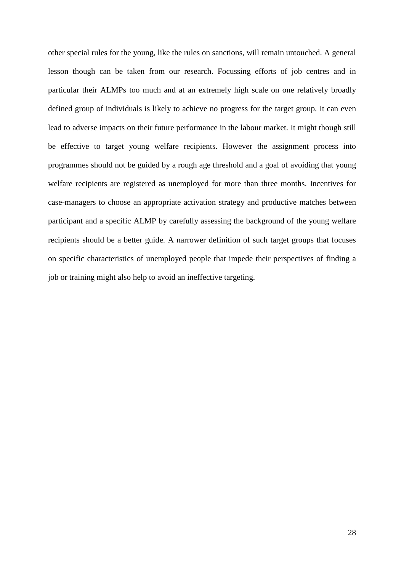other special rules for the young, like the rules on sanctions, will remain untouched. A general lesson though can be taken from our research. Focussing efforts of job centres and in particular their ALMPs too much and at an extremely high scale on one relatively broadly defined group of individuals is likely to achieve no progress for the target group. It can even lead to adverse impacts on their future performance in the labour market. It might though still be effective to target young welfare recipients. However the assignment process into programmes should not be guided by a rough age threshold and a goal of avoiding that young welfare recipients are registered as unemployed for more than three months. Incentives for case-managers to choose an appropriate activation strategy and productive matches between participant and a specific ALMP by carefully assessing the background of the young welfare recipients should be a better guide. A narrower definition of such target groups that focuses on specific characteristics of unemployed people that impede their perspectives of finding a job or training might also help to avoid an ineffective targeting.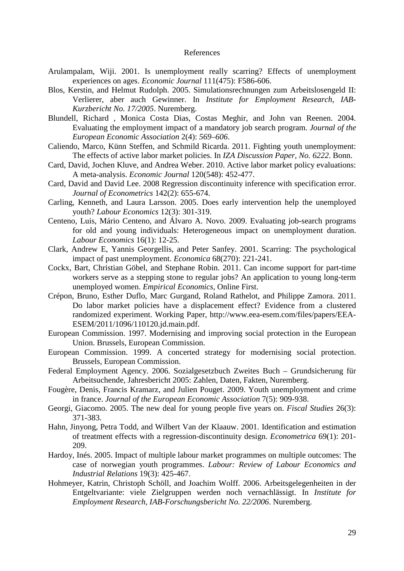#### References

- Arulampalam, Wiji. 2001. Is unemployment really scarring? Effects of unemployment experiences on ages. *Economic Journal* 111(475): F586-606.
- Blos, Kerstin, and Helmut Rudolph. 2005. Simulationsrechnungen zum Arbeitslosengeld II: Verlierer, aber auch Gewinner. In *Institute for Employment Research, IAB-Kurzbericht No. 17/2005*. Nuremberg.
- Blundell, Richard , Monica Costa Dias, Costas Meghir, and John van Reenen. 2004. Evaluating the employment impact of a mandatory job search program. *Journal of the European Economic Association* 2(4): *569–606*.
- Caliendo, Marco, Künn Steffen, and Schmild Ricarda. 2011. Fighting youth unemployment: The effects of active labor market policies. In *IZA Discussion Paper, No. 6222*. Bonn.
- Card, David, Jochen Kluve, and Andrea Weber. 2010. Active labor market policy evaluations: A meta-analysis. *Economic Journal* 120(548): 452-477.
- Card, David and David Lee. 2008 Regression discontinuity inference with specification error. *Journal of Econometrics* 142(2): 655-674.
- Carling, Kenneth, and Laura Larsson. 2005. Does early intervention help the unemployed youth? *Labour Economics* 12(3): 301-319.
- Centeno, Luis, Mário Centeno, and Álvaro A. Novo. 2009. Evaluating job-search programs for old and young individuals: Heterogeneous impact on unemployment duration. *Labour Economics* 16(1): 12-25.
- Clark, Andrew E, Yannis Georgellis, and Peter Sanfey. 2001. Scarring: The psychological impact of past unemployment. *Economica* 68(270): 221-241.
- Cockx, Bart, Christian Göbel, and Stephane Robin. 2011. Can income support for part-time workers serve as a stepping stone to regular jobs? An application to young long-term unemployed women. *Empirical Economics,* Online First.
- Crépon, Bruno, Esther Duflo, Marc Gurgand, Roland Rathelot, and Philippe Zamora. 2011. Do labor market policies have a displacement effect? Evidence from a clustered randomized experiment. Working Paper, http://www.eea-esem.com/files/papers/EEA-ESEM/2011/1096/110120.jd.main.pdf.
- European Commission. 1997. Modernising and improving social protection in the European Union. Brussels, European Commission.
- European Commission. 1999. A concerted strategy for modernising social protection. Brussels, European Commission.
- Federal Employment Agency. 2006. Sozialgesetzbuch Zweites Buch Grundsicherung für Arbeitsuchende, Jahresbericht 2005: Zahlen, Daten, Fakten, Nuremberg.
- Fougère, Denis, Francis Kramarz, and Julien Pouget. 2009. Youth unemployment and crime in france. *Journal of the European Economic Association* 7(5): 909-938.
- Georgi, Giacomo. 2005. The new deal for young people five years on. *Fiscal Studies* 26(3): 371-383.
- Hahn, Jinyong, Petra Todd, and Wilbert Van der Klaauw. 2001. Identification and estimation of treatment effects with a regression-discontinuity design. *Econometrica* 69(1): 201- 209.
- Hardoy, Inés. 2005. Impact of multiple labour market programmes on multiple outcomes: The case of norwegian youth programmes. *Labour: Review of Labour Economics and Industrial Relations* 19(3): 425-467.
- Hohmeyer, Katrin, Christoph Schöll, and Joachim Wolff. 2006. Arbeitsgelegenheiten in der Entgeltvariante: viele Zielgruppen werden noch vernachlässigt. In *Institute for Employment Research, IAB-Forschungsbericht No. 22/2006*. Nuremberg.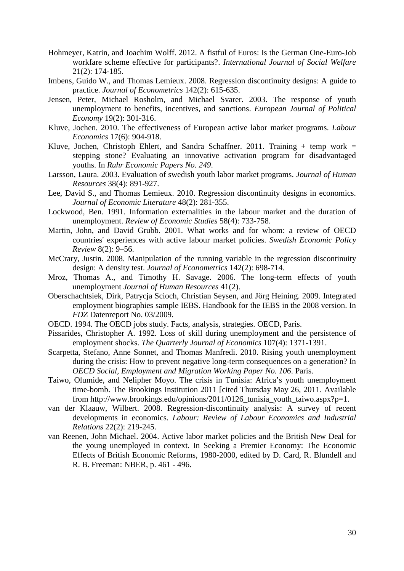- Hohmeyer, Katrin, and Joachim Wolff. 2012. A fistful of Euros: Is the German One-Euro-Job workfare scheme effective for participants?. *International Journal of Social Welfare* 21(2): 174-185.
- Imbens, Guido W., and Thomas Lemieux. 2008. Regression discontinuity designs: A guide to practice. *Journal of Econometrics* 142(2): 615-635.
- Jensen, Peter, Michael Rosholm, and Michael Svarer. 2003. The response of youth unemployment to benefits, incentives, and sanctions. *European Journal of Political Economy* 19(2): 301-316.
- Kluve, Jochen. 2010. The effectiveness of European active labor market programs. *Labour Economics* 17(6): 904-918.
- Kluve, Jochen, Christoph Ehlert, and Sandra Schaffner. 2011. Training  $+$  temp work  $=$ stepping stone? Evaluating an innovative activation program for disadvantaged youths. In *Ruhr Economic Papers No. 249*.
- Larsson, Laura. 2003. Evaluation of swedish youth labor market programs. *Journal of Human Resources* 38(4): 891-927.
- Lee, David S., and Thomas Lemieux. 2010. Regression discontinuity designs in economics. *Journal of Economic Literature* 48(2): 281-355.
- Lockwood, Ben. 1991. Information externalities in the labour market and the duration of unemployment. *Review of Economic Studies* 58(4): 733-758.
- Martin, John, and David Grubb. 2001. What works and for whom: a review of OECD countries' experiences with active labour market policies. *Swedish Economic Policy Review* 8(2): 9–56.
- McCrary, Justin. 2008. Manipulation of the running variable in the regression discontinuity design: A density test. *Journal of Econometrics* 142(2): 698-714.
- Mroz, Thomas A., and Timothy H. Savage. 2006. The long-term effects of youth unemployment *Journal of Human Resources* 41(2).
- Oberschachtsiek, Dirk, Patrycja Scioch, Christian Seysen, and Jörg Heining. 2009. Integrated employment biographies sample IEBS. Handbook for the IEBS in the 2008 version. In *FDZ* Datenreport No. 03/2009.
- OECD. 1994. The OECD jobs study. Facts, analysis, strategies. OECD, Paris.
- Pissarides, Christopher A. 1992. Loss of skill during unemployment and the persistence of employment shocks. *The Quarterly Journal of Economics* 107(4): 1371-1391.
- Scarpetta, Stefano, Anne Sonnet, and Thomas Manfredi. 2010. Rising youth unemployment during the crisis: How to prevent negative long-term consequences on a generation? In *OECD Social, Employment and Migration Working Paper No. 106*. Paris.
- Taiwo, Olumide, and Nelipher Moyo. The crisis in Tunisia: Africa's youth unemployment time-bomb. The Brookings Institution 2011 [cited Thursday May 26, 2011. Available from http://www.brookings.edu/opinions/2011/0126 tunisia youth taiwo.aspx?p=1.
- van der Klaauw, Wilbert. 2008. Regression-discontinuity analysis: A survey of recent developments in economics. *Labour: Review of Labour Economics and Industrial Relations* 22(2): 219-245.
- van Reenen, John Michael. 2004. Active labor market policies and the British New Deal for the young unemployed in context. In Seeking a Premier Economy: The Economic Effects of British Economic Reforms, 1980-2000, edited by D. Card, R. Blundell and R. B. Freeman: NBER, p. 461 - 496.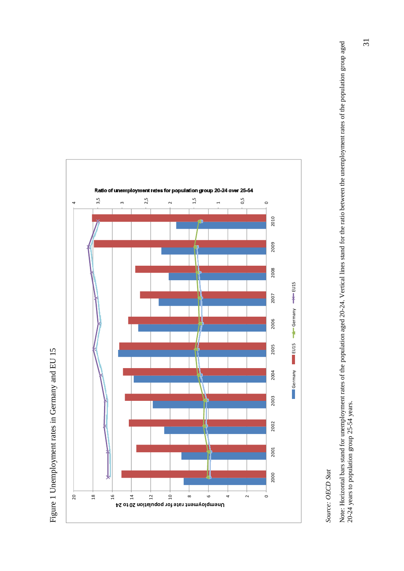

Figure 1 Unemployment rates in Germany and EU 15 Figure 1 Unemployment rates in Germany and EU 15

# Source: OECD Stat *Source: OECD Stat*

Note: Horizontal bars stand for unemployment rates of the population aged 20-24. Vertical lines stand for the ratio between the unemployment rates of the population group aged<br>20-24 years to population group 25-54 years. Note: Horizontal bars stand for unemployment rates of the population aged 20-24. Vertical lines stand for the ratio between the unemployment rates of the population group aged 20-24 years to population group 25-54 years.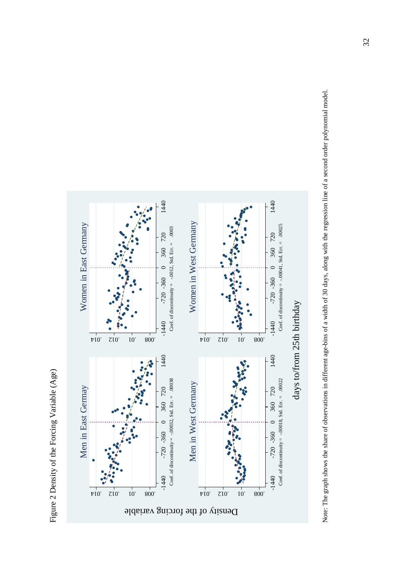Figure 2 Density of the Forcing Variable (Age) Figure 2 Density of the Forcing Variable (Age)



Note: The graph shows the share of observations in different age-bins of a width of 30 days, along with the regression line of a second order polynomial model. Note: The graph shows the share of observations in different age-bins of a width of 30 days, along with the regression line of a second order polynomial model.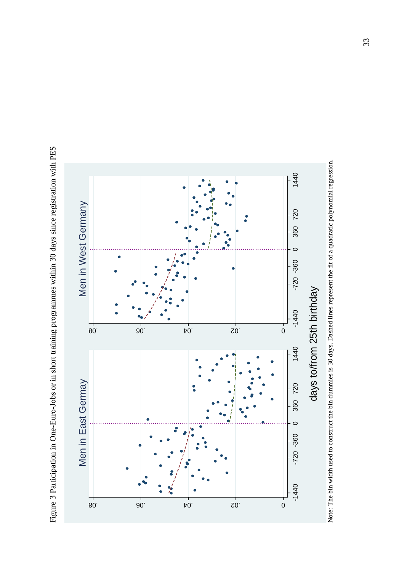Figure 3 Participation in One-Euro-Jobs or in short training programmes within 30 days since registration with PES Figure 3 Participation in One-Euro-Jobs or in short training programmes within 30 days since registration with PES

![](_page_32_Figure_1.jpeg)

![](_page_32_Figure_2.jpeg)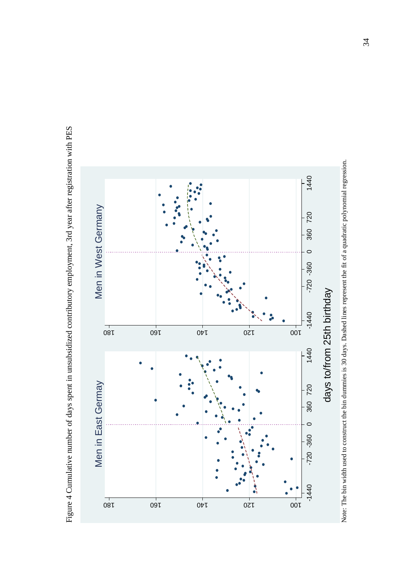Figure 4 Cumulative number of days spent in unsubsidized contributory employment, 3rd year after registration with PES Figure 4 Cumulative number of days spent in unsubsidized contributory employment, 3rd year after registration with PES

![](_page_33_Figure_1.jpeg)

Note: The bin width used to construct the bin dummies is 30 days. Dashed lines represent the fit of a quadratic polynomial regression. Note: The bin width used to construct the bin dummies is 30 days. Dashed lines represent the fit of a quadratic polynomial regression.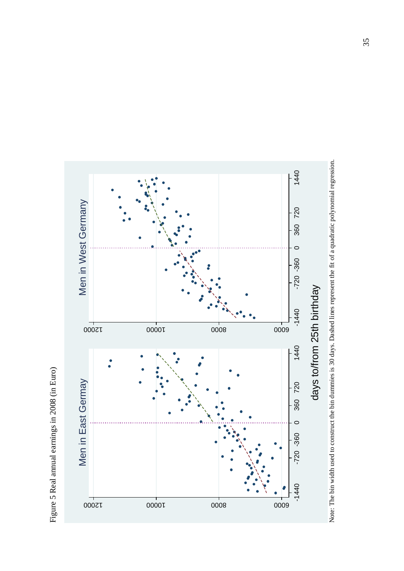![](_page_34_Figure_0.jpeg)

![](_page_34_Figure_1.jpeg)

![](_page_34_Figure_2.jpeg)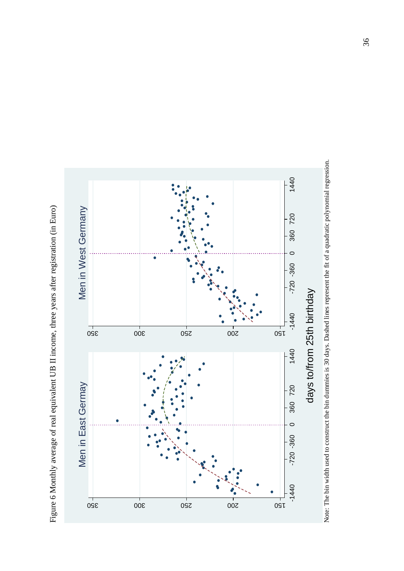![](_page_35_Figure_0.jpeg)

![](_page_35_Figure_1.jpeg)

![](_page_35_Figure_2.jpeg)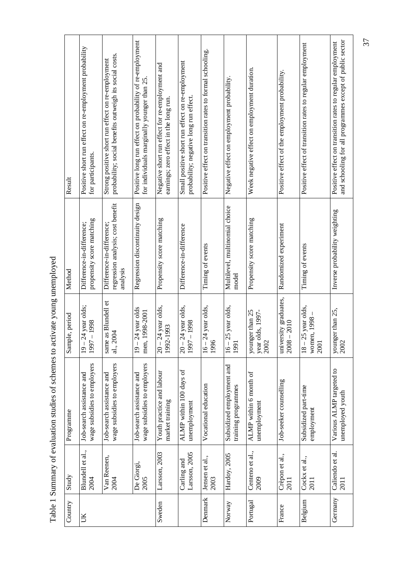|            | ١                                                                                   |
|------------|-------------------------------------------------------------------------------------|
|            |                                                                                     |
|            |                                                                                     |
|            |                                                                                     |
|            |                                                                                     |
|            |                                                                                     |
|            |                                                                                     |
|            |                                                                                     |
|            |                                                                                     |
|            |                                                                                     |
|            |                                                                                     |
|            |                                                                                     |
|            |                                                                                     |
|            |                                                                                     |
|            |                                                                                     |
|            |                                                                                     |
|            |                                                                                     |
|            |                                                                                     |
|            |                                                                                     |
|            |                                                                                     |
|            | )<br>State<br>State                                                                 |
|            |                                                                                     |
|            |                                                                                     |
|            |                                                                                     |
|            |                                                                                     |
|            | $\frac{1}{2}$                                                                       |
|            |                                                                                     |
|            |                                                                                     |
|            |                                                                                     |
|            |                                                                                     |
|            |                                                                                     |
|            |                                                                                     |
|            |                                                                                     |
|            |                                                                                     |
|            |                                                                                     |
|            |                                                                                     |
|            |                                                                                     |
|            |                                                                                     |
|            |                                                                                     |
|            |                                                                                     |
|            |                                                                                     |
|            | . Summary of exclusive studies of sobems to actively value in a summary of $\alpha$ |
|            |                                                                                     |
|            | י שבט ביש<br>1                                                                      |
| .<br> <br> |                                                                                     |
|            |                                                                                     |
|            |                                                                                     |
|            |                                                                                     |

| Result         | Positive short run effect on re-employment probability<br>for participants. | probability; social benefits outweigh its social costs.<br>Strong positive short run effect on re-employment | Positive long run effect on probability of re-employment<br>for individuals marginally younger than 25. | Negative short run effect for re-employment and<br>earnings; zero effect in the long run. | Small positive short run effect on re-employment<br>probability; negative long run effect. | Positive effect on transition rates to formal schooling. | Negative effect on employment probability.       | Week negative effect on employment duration. | Positive effect of the employment probability. | Positive effect of transition rates to regular employment | and schooling for all programmes except of public sector<br>Positive effect on transition rates to regular employment |
|----------------|-----------------------------------------------------------------------------|--------------------------------------------------------------------------------------------------------------|---------------------------------------------------------------------------------------------------------|-------------------------------------------------------------------------------------------|--------------------------------------------------------------------------------------------|----------------------------------------------------------|--------------------------------------------------|----------------------------------------------|------------------------------------------------|-----------------------------------------------------------|-----------------------------------------------------------------------------------------------------------------------|
| Method         | propensity score matching<br>Difference-in-difference;                      | regression analysis; cost benefit<br>Difference-in-difference;<br>analysis                                   | Regression discontinuity design                                                                         | Propensity score matching                                                                 | Difference-in-difference                                                                   | Timing of events                                         | Multilevel, multinomial choice<br>model          | Propensity score matching                    | Randomized experiment                          | Timing of events                                          | Inverse probability weighting                                                                                         |
| Sample, period | 24 year olds;<br>$-1998$<br>1997<br>$\overline{9}$                          | same as Blundell et<br>al., 2004                                                                             | 24 year olds<br>1998-2001<br>men,<br>$19 -$                                                             | 24 year olds,<br>1992-1993<br>$-00$                                                       | 24 year olds,<br>$-1998$<br>1997<br>$-01$                                                  | 24 year olds,<br>1996<br>$16 -$                          | 25 year olds,<br>1991<br>$16 -$                  | younger than 25<br>year olds, 1997-<br>2002  | university graduates,<br>$-2010$<br>2008       | 25 year olds,<br>women, 1998<br>2001<br>$18 -$            | younger than $25$ , $2002$                                                                                            |
| Programme      | wage subsidies to employers<br>Job-search assistance and                    | wage subsidies to employers<br>Job-search assistance and                                                     | wage subsidies to employers<br>Job-search assistance and                                                | Youth practice and labour<br>market training                                              | ALMP within 100 days of<br>unemployment                                                    | Vocational education                                     | Subsidized employment and<br>training programmes | ALMP within 6 month of<br>unemployment       | Job-seeker counselling                         | Subsidized part-time<br>employment                        | Various ALMP targeted to<br>unemployed youth                                                                          |
| Study          | Blundell et al.,<br>2004                                                    | Van Reenen,<br>2004                                                                                          | De Giorgi,<br>2005                                                                                      | Larsson, 2003                                                                             | Larsson, 2005<br>Carling and                                                               | Jensen et al.,<br>2003                                   | Hardoy, 2005                                     | Centeno et al.,<br>2009                      | Crèpon et al.,<br>2011                         | Cockx et al.,<br>2011                                     | Caliendo et al.<br>2011                                                                                               |
| Country        | UK                                                                          |                                                                                                              |                                                                                                         | Sweden                                                                                    |                                                                                            | Denmark                                                  | Norway                                           | Portugal                                     | France                                         | Belgium                                                   | Germany                                                                                                               |

37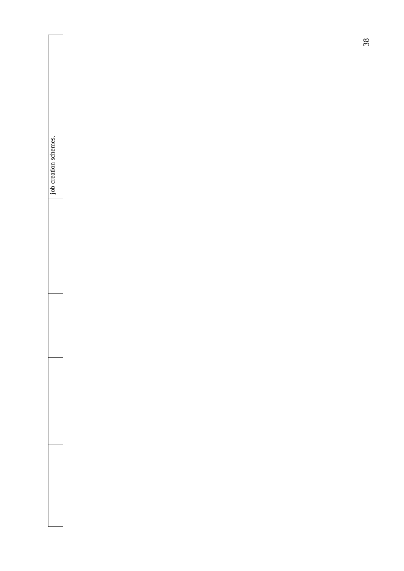| job creation schemes. |  |  |  |
|-----------------------|--|--|--|
|                       |  |  |  |
|                       |  |  |  |
|                       |  |  |  |
|                       |  |  |  |
|                       |  |  |  |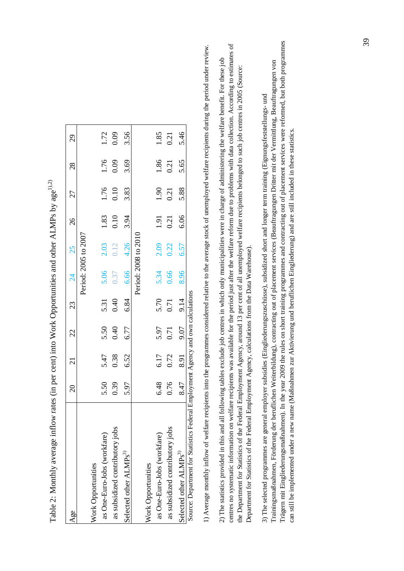| Age                                | $\overline{c}$ | $\overline{21}$ | 22   | 23             | $\frac{4}{2}$        | 25   | 26   | 27                  | 28           | 29           |
|------------------------------------|----------------|-----------------|------|----------------|----------------------|------|------|---------------------|--------------|--------------|
|                                    |                |                 |      |                | Period: 2005 to 2007 |      |      |                     |              |              |
| Work Opportunities                 |                |                 |      |                |                      |      |      |                     |              |              |
| as One-Euro-Jobs (workfare)        | 5.50           | 5.47            | 5.50 | 5.31           | 5.06                 | 2.03 | 1.83 |                     |              |              |
| as subsidized contributory jobs    | 0.39           | 0.38            | 0.40 | 0.40           | 0.37                 | 0.12 | 0.10 | $\frac{1.76}{0.10}$ | 1.76<br>0.09 | 1.72<br>0.09 |
| Selected other ALMPs <sup>3)</sup> | 5.97           | 6.52            | 6.77 | 6.84           | 6.66                 | 4.26 | 3.94 | 3.83                | 3.69         | 3.56         |
|                                    |                |                 |      |                | Period: 2008 to 2010 |      |      |                     |              |              |
| Work Opportunities                 |                |                 |      |                |                      |      |      |                     |              |              |
| as One-Euro-Jobs (workfare)        | 6.48           | 6.17            | 5.97 | 5.70           |                      | 2.09 | 1.91 | 1.90                | 1.86         | 1.85         |
| as subsidized contributory jobs    | 0.76           | 0.72            | 0.71 | 0.71           | 5.34<br>0.66         | 0.22 | 0.21 | 0.21                | 0.21         | 0.21         |
| Selected other ALMPs <sup>3)</sup> | 8.47           | 8.91            | 9.07 | 9.14           | 8.96                 | 6.57 | 6.06 | 5.88                | 5.65         | 5.46         |
|                                    |                |                 |      | $\ddot{\cdot}$ |                      |      |      |                     |              |              |

Table 2: Monthly average inflow rates (in per cent) into Work Opportunities and other ALMPs by age<sup>1),2)</sup> Table 2: Monthly average inflow rates (in per cent) into Work Opportunities and other ALMPs by age<sup>1),2)</sup>

Source: Department for Statistics Federal Employment Agency and own calculations Source: Department for Statistics Federal Employment Agency and own calculations

1) Average monthly inflow of welfare recipients into the programmes considered relative to the average stock of unemployed welfare recipients during the period under review. 1) Average monthly inflow of welfare recipients into the programmes considered relative to the average stock of unemployed welfare recipients during the period under review.

centres no systematic information on welfare recipients was available for the period just after the welfare reform due to problems with data collection. According to estimates of centres no systematic information on welfare recipients was available for the period just after the welfare reform due to problems with data collection. According to estimates of 2) The statistics provided in this and all following tables exclude job centres in which only municipalities were in charge of administering the welfare benefit. For these job 2) The statistics provided in this and all following tables exclude job centres in which only municipalities were in charge of administering the welfare benefit. For these job the Department for Statistics of the Federal Employment Agency, around 13 per cent of all unemployed welfare recipients belonged to such job centres in 2005 (Source: the Department for Statistics of the Federal Employment Agency, around 13 per cent of all unemployed welfare recipients belonged to such job centres in 2005 (Source: Department for Statistics of the Federal Employment Agency, calculations from the Data Warehouse). Department for Statistics of the Federal Employment Agency, calculations from the Data Warehouse).

Trägern mit Eingliederungsmaßnahmen). In the year 2009 the rules on short training programmes and contracting out of placement services were reformed, but both programmes Trägern mit Eingliederungsmaßnahmen). In the year 2009 the rules on short training programmes and contracting out of placement services were reformed, but both programmes Trainingsmaßnahmen, Förderung der beruflichen Weiterbildung), contracting out of placement services (Beauftragungen Dritter mit der Vermittlung, Beauftragungen von Trainingsmaßnahmen, Förderung der beruflichen Weiterbildung), contracting out of placement services (Beauftragungen Dritter mit der Vermittlung, Beauftragungen von 3) The selected programmes are general employer subsidies (Eingliederungszuschüsse), subsidized short and longer term training (Eignungsfeststellungs- und 3) The selected programmes are general employer subsidies (Eingliederungszuschüsse), subsidized short and longer term training (Eignungsfeststellungs- und can still be implemented under a new name (Maßnahmen zur Aktivierung und beruflichen Eingliederung) and are still included in these statistics. can still be implemented under a new name (Maßnahmen zur Aktivierung und beruflichen Eingliederung) and are still included in these statistics.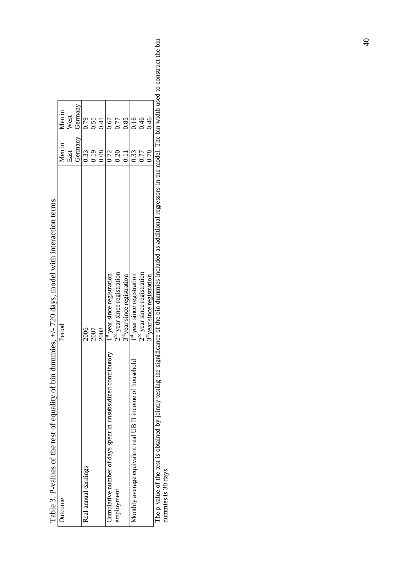| lable 3. P-values of the test of equality of bin duminies,   | $+/-$ /20 days, model with interaction terms                                                                                                                                       |         |         |  |
|--------------------------------------------------------------|------------------------------------------------------------------------------------------------------------------------------------------------------------------------------------|---------|---------|--|
| Outcome                                                      | Period                                                                                                                                                                             | Men in  | Men in  |  |
|                                                              |                                                                                                                                                                                    | East    | West    |  |
|                                                              |                                                                                                                                                                                    | Germany | Germany |  |
| Real annual earnings                                         | 2006                                                                                                                                                                               | 0.33    | 0.79    |  |
|                                                              | 2007                                                                                                                                                                               | 0.19    | 0.55    |  |
|                                                              | 2008                                                                                                                                                                               | 0.08    | 0.41    |  |
| Cumulative number of days spent in unsubsidized contributory | $1^{\rm st}$ year since registration                                                                                                                                               | 0.72    | 0.67    |  |
| employment                                                   | $2nd$ year since registration                                                                                                                                                      | 0.20    | 0.77    |  |
|                                                              | 3 <sup>rd</sup> year since registration                                                                                                                                            | 0.11    | 0.85    |  |
| Monthly average equivalent real UB II income of household    | $1^{\rm st}$ year since registration                                                                                                                                               | 0.33    | 0.16    |  |
|                                                              | $2nd$ year since registration                                                                                                                                                      | 0.77    | 0.46    |  |
|                                                              | 3 <sup>rd</sup> year since registration                                                                                                                                            | 0.78    | 0.46    |  |
|                                                              | The p-value of the test is obtained by jointly testing the significance of the bin dummies included as additional regressors in the model. The bin width used to construct the bin |         |         |  |
| dummies is 30 days.                                          |                                                                                                                                                                                    |         |         |  |

Table 3. P-values of the test of equality of bin dummies, +/- 720 days, model with interaction terms  $\ddot{\cdot}$ ्रं  $\ddot{ }$  $\frac{1}{2}$  $_{\rm 60~\rm{C}C~^{-1}$  $\ddot{\cdot}$ ्  $\mathbf{r}$  $\frac{1}{2}$  $\frac{1}{2}$  $\ddot{\cdot}$  $\cdot$  $\mathbf{t}$ Ė  $\Delta$  $T<sub>ablo</sub>$  2

40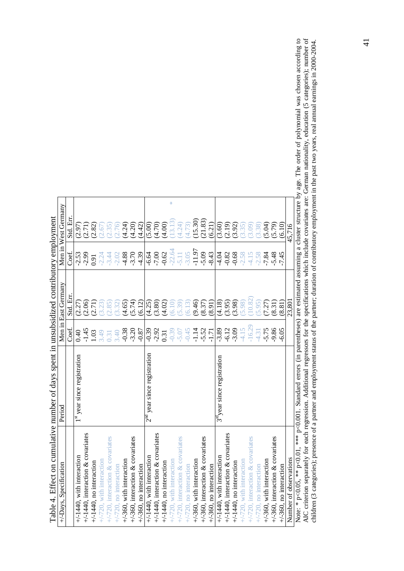|                                                                                            | Men in West Germany    | Std. En  | (2.97)                                    | (2.71)                               | (2.82)                     | (2.67)                      | (2.35)                              | (2.76)                    | (4.24)                   | (4.20)                              | (4.42)                          | (5.00)                                     | (4.70)                               | (4.00)                     | 꼮<br>(13.13)                | (4.24)                              | (4.73)                    | $(15.30)$<br>$(21.83)$      |                                     | (6.21)                    | (3.60)                                  | (2.19)                               | (3.92)                     | (3.35)                      | (3.09)                              | (3.38)                    | (5.04)                      | (5.79)                              | (6.10)                          | 45.716                 |                                                                                                  |
|--------------------------------------------------------------------------------------------|------------------------|----------|-------------------------------------------|--------------------------------------|----------------------------|-----------------------------|-------------------------------------|---------------------------|--------------------------|-------------------------------------|---------------------------------|--------------------------------------------|--------------------------------------|----------------------------|-----------------------------|-------------------------------------|---------------------------|-----------------------------|-------------------------------------|---------------------------|-----------------------------------------|--------------------------------------|----------------------------|-----------------------------|-------------------------------------|---------------------------|-----------------------------|-------------------------------------|---------------------------------|------------------------|--------------------------------------------------------------------------------------------------|
|                                                                                            |                        | Coef.    | $-2.53$                                   | $-2.99$                              | 0.91                       | $-2.24$                     | $-3.44$                             | $-2.02$                   | $-4.88$                  | $-3.70$                             | $-4.39$                         | $-6.64$                                    | $-7.00$                              | $-0.62$                    | $-22.64$                    | $-5.11$                             | $-3.05$                   | $-11.97$                    | $-5.09$                             | $-8.43$                   | $-4.04$                                 | $-0.82$                              | $-0.68$                    | $-2.58$                     | $-4.15$                             | $-2.58$                   | $-7.84$                     | $-5.48$                             | $-7.45$                         |                        |                                                                                                  |
|                                                                                            | Men in East Germany    | Std. Err | (2.27)                                    | (2.06)                               | (2.71)                     | (3.23)                      | (2.85)                              | (3.32)                    | (4.65)                   | (5.74)                              | (6.12)                          | (4.25)                                     | (3.80)                               | (4.02)                     | (6.10)                      | (65.39)                             | (6.13)                    | (9.46)                      | (8.37)                              | (8.91)                    | (4.18)                                  | (3.95)                               | (3.98)                     | (5.98)                      | (10.82)                             | (5.95)                    | (7.27)                      | (8.31)                              | (8.81)                          | 23,801                 |                                                                                                  |
|                                                                                            |                        | Coef.    | 0.40                                      | $-1.45$                              | 1.03                       | 3.49                        | 0.31                                | 3.40                      | $-0.38$<br>$-3.20$       |                                     | $-0.87$                         | $-0.39$                                    | $-2.92$                              | 0.31                       | $-0.39$                     | $-5.07$                             | $-0.45$                   | $-1.14$                     | $-5.52$                             | $-1.71$                   | $-3.89$                                 | $-6.12$                              | $-3.09$                    | $-4.15$                     | $-16.29$                            | $-4.31$                   | $-5.75$                     | $-9.86$                             | $-6.05$                         |                        |                                                                                                  |
|                                                                                            | Period                 |          | year since registration<br>$\frac{d}{dt}$ |                                      |                            |                             |                                     |                           |                          |                                     |                                 | year since registration<br>$2^{\text{nd}}$ |                                      |                            |                             |                                     |                           |                             |                                     |                           | 3 <sup>rd</sup> year since registration |                                      |                            |                             |                                     |                           |                             |                                     |                                 |                        | , *** $p<0.001$ . Standard errors (in parentheses) are estimated assuming a cluster structure by |
| Table 4. Effect on cumulative number of days spent in unsubsidized contributory employment | +/-Days, Specification |          | $+/-1440$ , with interaction              | $+/-1440$ , interaction & covariates | $+/-1440$ , no interaction | $+/-720$ , with interaction | $+/-720$ , interaction & covariates | $+/-720$ , no interaction | +/-360, with interaction | $+$ /-360, interaction & covariates | $+\sqrt{-360}$ , no interaction | $+/-1440$ , with interaction               | $+/-1440$ , interaction & covariates | $+/-1440$ , no interaction | $+/-720$ , with interaction | $+/-720$ , interaction & covariates | $+/-720$ , no interaction | $+/-360$ , with interaction | $+$ /-360, interaction & covariates | $+/-360$ , no interaction | $+/-1440$ , with interaction            | $+/-1440$ , interaction & covariates | $+/-1440$ , no interaction | $+/-720$ , with interaction | $+/-720$ , interaction & covariates | $+/-720$ , no interaction | $+/-360$ , with interaction | $+$ /-360, interaction & covariates | $+\sqrt{-360}$ , no interaction | Number of observations | Note: * p<0.05, ** p<0.01                                                                        |

Note:  $*_{P} < 0.05$ ,  $**_{P} < 0.001$ . Standard errors (in parentheses) are estimated assuming a cluster structure by age. The order of polynomial was chosen according to AIC criterion separately for each regression. Addi Note: \* p<0.05, \*\* p<0.001, Standard errors (in parentheses) are estimated assuming a cluster structure by age. The order of polynomial was chosen according to AIC criterion separately for each regression. Additional regressors for the specifications which include covariates are: German nationality, education (5 categories); number of children (3 categories); presence of a partner and employment status of the partner; duration of contributory employment in the past two years, real annual earnings in 2000-2004.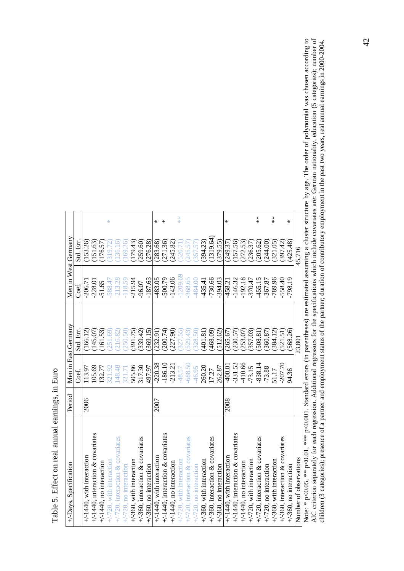| İ           |
|-------------|
| í           |
| こうきょう しょう   |
|             |
|             |
| ç           |
| ؟<br>با     |
| ミー・ニー<br>Ç, |
|             |
| i           |

| +/-Days, Specification                                                                                                       | Period |           | Men in East Germany | Men in West Germany |           |                                          |
|------------------------------------------------------------------------------------------------------------------------------|--------|-----------|---------------------|---------------------|-----------|------------------------------------------|
|                                                                                                                              |        | Coef.     | Std. Err.           | Coef.               | Std. Err. |                                          |
| $+/-1440$ , with interaction                                                                                                 | 2006   | 113.97    | (166.12)            | $-206.71$           | (153.26)  |                                          |
| $+/-1440$ , interaction & covariates                                                                                         |        | 105.69    | (145.07)            | $-228.01$           | (151.63)  |                                          |
| $+/-1440$ , no interaction                                                                                                   |        | 132.77    | (161.53)            | $-51.65$            | (176.57)  |                                          |
| +/-720, with interaction                                                                                                     |        | 321.92    | (251.69)            | $-588.47$           | (319.72)  | ₩                                        |
| $+/-720$ , interaction & covariates                                                                                          |        | 148.48    | (216.82)            | $-213.28$           | (136.16)  |                                          |
| $+/-720$ , no interaction                                                                                                    |        | 321.71    | 250.50              | $-118.59$           | (169.26)  |                                          |
| $+/-360$ , with interaction                                                                                                  |        | 505.86    | (391.75)            | $-215.94$           | (179.43)  |                                          |
| $+/-360$ , interaction & covariates                                                                                          |        | 317.30    | (339.42)            | -96.07              | (259.60)  |                                          |
| $+/-360$ , no interaction                                                                                                    |        | 497.97    | (369.15)            | $-187.63$           | (276.28)  |                                          |
| $+/-1440$ , with interaction                                                                                                 | 2007   | $-220.38$ | (232.91)            | $-483.05$           | (283.68)  | ⋇                                        |
| $+/-1440$ , interaction & covariates                                                                                         |        | $-186.10$ | (200.74)            | $-500.79$           | (271.36)  | ⋇                                        |
| $+/-1440$ , no interaction                                                                                                   |        | $-213.21$ | (227.90)            | $-143.06$           | (245.82)  |                                          |
| +/-720, with interaction                                                                                                     |        | $-48.57$  | 327.55              | $-1209.69$          | (520.71)  | **                                       |
| $+/-720$ , interaction & covariates                                                                                          |        | $-688.50$ | (529.43)            | $-368.65$           | (245.57)  |                                          |
| $+/-720$ , no interaction                                                                                                    |        | $-46.95$  | 328.50              | -484.00             | (357.57)  |                                          |
| +/-360, with interaction                                                                                                     |        | 260.20    | (401.81)            | $-435.41$           | (394.23)  |                                          |
| $+/-360$ , interaction & covariates                                                                                          |        | 17.27     | (468.09)            | $-730.66$           | (1319.64) |                                          |
| $+/-360$ , no interaction                                                                                                    |        | 262.87    | (512.62)            | $-394.03$           | (379.55)  |                                          |
| $+/-1440$ , with interaction                                                                                                 | 2008   | $-400.01$ | (265.67)            | $-458.21$           | (249.37)  | ∗                                        |
| $+/-1440$ , interaction & covariates                                                                                         |        | $-331.52$ | (230.57)            | $-146.32$           | (157.56)  |                                          |
| $+/-1440$ , no interaction                                                                                                   |        | $-410.66$ | (253.07)            | $-192.18$           | (272.53)  |                                          |
| $+/-720$ , with interaction                                                                                                  |        | $-73.15$  | (357.03)            | $-370.47$           | (236.37)  |                                          |
| $+/-720$ , interaction & covariates                                                                                          |        | $-838.14$ | (508.81)            | $-455.15$           | (205.62)  | $\frac{*}{*}$                            |
| $+/-720$ , no interaction                                                                                                    |        | $-73.88$  | (360.87)            | $-367.87$           | (244.00)  |                                          |
| +/-360, with interaction                                                                                                     |        | 51.17     | (384.12)            | $-789.96$           | (321.05)  | $\begin{array}{c} * \ * \ * \end{array}$ |
| $+$ /-360, interaction & covariates                                                                                          |        | $-207.70$ | (521.51)            | $-558.40$           | (397.42)  |                                          |
| $+/-360$ , no interaction                                                                                                    |        | 94.36     | (568.26)            | $-798.19$           | (425.48)  | ⋇                                        |
| Number of observations                                                                                                       |        |           | 23,801              |                     | 45,716    |                                          |
| Note: * $n < 0.05$ ** $n < 0.01$ *** $n < 0.001$ Standard errors (in parentheses) are estimated assuming a cluster structure |        |           |                     |                     |           |                                          |

Note:  $*_{P} < 0.05$ ,  $**_{P} < 0.001$ . Standard errors (in parentheses) are estimated assuming a cluster structure by age. The order of polynomial was chosen according to AIC criterion separately for each regression. Addi Note: \* p<0.05, \*\* p<0.001, Standard errors (in parentheses) are estimated assuming a cluster structure by age. The order of polynomial was chosen according to AIC criterion separately for each regression. Additional regressors for the specifications which include covariates are: German nationality, education (5 categories); number of children (3 categories); presence of a partner and employment status of the partner; duration of contributory employment in the past two years, real annual earnings in 2000-2004.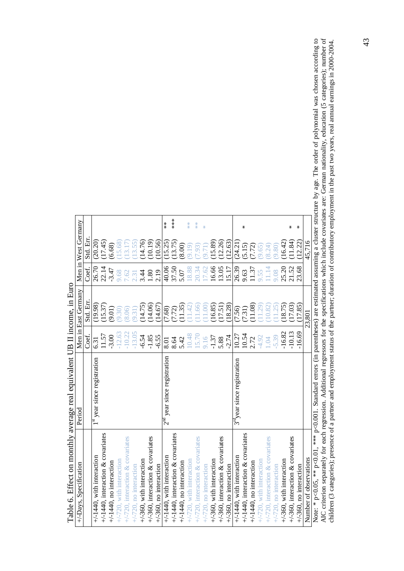| Table 6. Effect on monthly average real equivalent UB II income, in Euro                                       |                                         |          |                     |         |                     |               |
|----------------------------------------------------------------------------------------------------------------|-----------------------------------------|----------|---------------------|---------|---------------------|---------------|
| +/-Days, Specification                                                                                         | Period                                  |          | Men in East Germany |         | Men in West Germany |               |
|                                                                                                                |                                         | Coef.    | Std. Err            | Coef.   | Std. Err            |               |
| $+/-1440$ , with interaction                                                                                   | $1^{\rm st}$ year since registration    | 6.31     | (19.98)             | 26.70   | (20.20)             |               |
| $+/-1440$ , interaction & covariates                                                                           |                                         | 11.57    | (15.37)             | 22.14   | (17.45)             |               |
| $+/-1440$ , no interaction                                                                                     |                                         | $-3.00$  | (9.01)              | $-3.47$ | (6.68)              |               |
| $+/-720$ , with interaction                                                                                    |                                         | $-12.63$ | (9.30)              | 9.68    | (15.68)             |               |
| $+/-720$ , interaction & covariates                                                                            |                                         | $-10.22$ | (8.06)              | 7.62    | (13.17)             |               |
| $+/-720$ , no interaction                                                                                      |                                         | $-13.05$ | (9.31)              | 2.31    | (13.55)             |               |
| $+\sqrt{-360}$ , with interaction                                                                              |                                         | $-6.54$  | (14.75)             | 3.44    | (14.76)             |               |
| $+$ /-360, interaction & covariates                                                                            |                                         | $-1.85$  | (14.06)             | 1.80    | (10.19)             |               |
| $+\sqrt{360}$ , no interaction                                                                                 |                                         | $-6.55$  | (14.67)             | 2.19    | 10.56               |               |
| $+/-1440$ , with interaction                                                                                   | $2nd$ year since registration           | 8.01     | (7.68)              | 40.06   | (15.25)             | $\frac{*}{*}$ |
| $+/-1440$ , interaction & covariates                                                                           |                                         | 8.64     | (7.72)              | 37.50   | (13.75)             | $***$         |
| $+/-1440$ , no interaction                                                                                     |                                         | 5.42     | (11.35)             | 5.07    | (8.00)              |               |
| $+/-720$ , with interaction                                                                                    |                                         | 10.48    | (11.42)             | 18.88   | (9.19)              | $*$           |
| $+/-720$ , interaction & covariates                                                                            |                                         | 15.70    | (11.66)             | 20.34   | (56.7)              | $*$           |
| $+/-720$ , no interaction                                                                                      |                                         | 9.16     | (1.00)              | 17.62   | (17.6)              | $\frac{M}{N}$ |
| $+/-360$ , with interaction                                                                                    |                                         | $-1.37$  | (16.85)             | 16.66   | (15.89)             |               |
| $+/-360$ , interaction & covariates                                                                            |                                         | 5.88     | (17.51)             | 13.05   | (12.26)             |               |
| $+/-360$ , no interaction                                                                                      |                                         | $-2.74$  | (18.28)             | 15.17   | (12.63)             |               |
| $+/-1440$ , with interaction                                                                                   | 3 <sup>rd</sup> year since registration | 10.27    | (7.56)              | 26.39   | (24.21)             |               |
| $+/-1440$ , interaction & covariates                                                                           |                                         | 10.54    | (7.31)              | 9.63    | (5.15)              | ⋇             |
| $+/-1440$ , no interaction                                                                                     |                                         | 2.72     | (11.08)             | 11.37   | (7.72)              |               |
| $+/-720$ , with interaction                                                                                    |                                         | $-4.92$  | (11.29)             | 9.55    | (9.65)              |               |
| $+/-720$ , interaction & covariates                                                                            |                                         | 1.04     | (10.82)             | 11.14   | (8.24)              |               |
| $+/-720$ , no interaction                                                                                      |                                         | 5.39     | (11.25)             | 9.08    | 9.80)               |               |
| $+/-360$ , with interaction                                                                                    |                                         | $-16.82$ | (18.75)             | 25.20   | (16.42)             |               |
| $+/-360$ , interaction & covariates                                                                            |                                         | $-10.13$ | (17.03)             | 21.52   | (1.84)              | ⋇             |
| $+/-360$ , no interaction                                                                                      |                                         | $-16.69$ | (17.85)             | 23.68   | (12.22)             | ⋇             |
| Number of observations                                                                                         |                                         |          | 23,801              |         | 45,716              |               |
| Mote: * $nC$ 05 ** $nC$ 01 *** $nC$ 001 Standard errore (in parentheces) are estimated assuming a cluster stru |                                         |          |                     |         |                     |               |

É  $\ddot{\phantom{0}}$  $\cdot$  TI or  $\cdot$ l,  $\ddot{\phantom{a}}$ l,  $+1.1$  $\ddot{ }$  $T<sub>ab</sub>1<sub>a</sub> \leq T<sub>eff</sub>$  Note:  $* p < 0.05$ ,  $** p < 0.01$ ,  $** p < 0.001$ . Standard errors (in parentheses) are estimated assuming a cluster structure by age. The order of polynomial was chosen according to AIC criterion separately for each regres Note: \* p<0.05, \*\* p<0.001. Standard errors (in parentheses) are estimated assuming a cluster structure by age. The order of polynomial was chosen according to AIC criterion separately for each regression. Additional regressors for the specifications which include covariates are: German nationality, education (5 categories); number of children (3 categories); presence of a partner and employment status of the partner; duration of contributory employment in the past two years, real annual earnings in 2000-2004. children (3 categories); presence of a partner and employment status of the partner; duration of contributory employment in the past two years, real annual earnings in 2000-2004.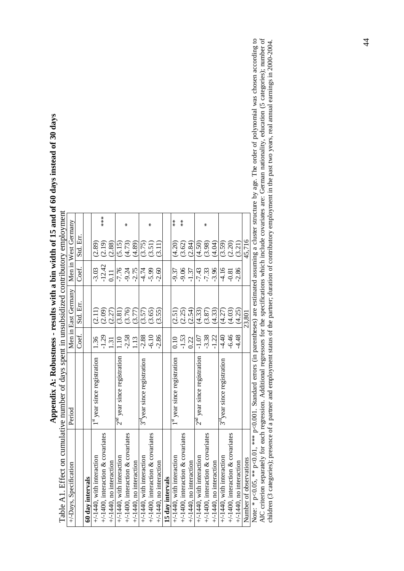| Table A1. Effect on cumulative number of days spent in unsubsidized contributory employment |                                         |         |                     |          |                     |               |
|---------------------------------------------------------------------------------------------|-----------------------------------------|---------|---------------------|----------|---------------------|---------------|
| +/-Days, Specification                                                                      | Period                                  |         | Men in East Germany |          | Men in West Germany |               |
|                                                                                             |                                         | Coef.   | Std. Err.           | Coef.    | Std. Err.           |               |
| 60 day intervals                                                                            |                                         |         |                     |          |                     |               |
| $+/-1440$ , with interaction                                                                | 1 <sup>st</sup> year since registration | 1.36    | (2.11)              | $-3.03$  | (2.89)              |               |
| $+/-1400$ , interaction & covariates                                                        |                                         | $-1.29$ | (2.09)              | $-12.42$ | (2.19)              | ***           |
| $+/-1440$ , no interaction                                                                  |                                         | 131     | (2.27)              | 0.11     | (2.88)              |               |
| $+/-1440$ , with interaction                                                                | $2nd$ year since registration           | 1.10    | (3.81)              | $-7.76$  | (5.15)              |               |
| $+/-1400$ , interaction & covariates                                                        |                                         | $-2.58$ | (3.76)              | $-9.24$  | (4.73)              | ∗             |
| $+/-1440$ , no interaction                                                                  |                                         | 13      | (3.77)              | $-2.75$  | (4.89)              |               |
| $+/-1440$ , with interaction                                                                | 3 <sup>rd</sup> year since registration | $-2.88$ | (3.57)              | -4.74    | (3.75)              |               |
| $+/-1400$ , interaction & covariates                                                        |                                         | $-6.10$ | (3.65)              | $-5.99$  | (3.51)              | ⋇             |
| $+/-1440$ , no interaction                                                                  |                                         | $-2.86$ | (3.55)              | $-2.60$  | (3.11)              |               |
| 15 day intervals                                                                            |                                         |         |                     |          |                     |               |
| $+/-1440$ , with interaction                                                                | 1 <sup>st</sup> year since registration | 0.10    | (2.51)              | -9.37    | (4.20)              | $\frac{*}{*}$ |
| $+/-1400$ , interaction & covariates                                                        |                                         | $-1.53$ | (2.25)              | $-9.06$  | (3.62)              | $\frac{*}{*}$ |
| $+/-1440$ , no interaction                                                                  |                                         | 0.22    | (2.54)              | $-1.37$  | (2.84)              |               |
| $+/-1440$ , with interaction                                                                | $2nd$ year since registration           | $-1.07$ | (4.33)              | $-7.43$  | (4.50)              |               |
| $+/-1400$ , interaction & covariates                                                        |                                         | $-3.38$ | (3.87)              | $-7.33$  | (3.98)              | ⋇             |
| $+/-1440$ , no interaction                                                                  |                                         | $-1.22$ | (4.33)              | $-3.96$  | (4.04)              |               |
| $+/-1440$ , with interaction                                                                | 3 <sup>rd</sup> year since registration | $-4.40$ | (4.27)              | $-4.16$  | (3.59)              |               |
| $+/-1400$ , interaction & covariates                                                        |                                         | $-6.46$ | (4.03)              | $-0.81$  | (2.20)              |               |
| $+/-1440$ , no interaction                                                                  |                                         | $-4.48$ | (4.25)              | $-2.86$  | (3.21)              |               |
| Number of observations                                                                      |                                         |         | 23,801              |          | 45,716              |               |
|                                                                                             |                                         |         |                     |          |                     |               |

Appendix A: Robustness - results with a bin width of 15 and of 60 days instead of 30 days **Appendix A: Robustness - results with a bin width of 15 and of 60 days instead of 30 days** 

Note:  $* p < 0.05$ ,  $** p < 0.01$ ,  $*** p < 0.001$ . Standard errors (in parentheses) are estimated assuming a cluster structure by age. The order of polynomial was chosen according to AIC criterion separately for each regres Note: \* p<0.05, \*\* p<0.001. Standard errors (in parentheses) are estimated assuming a cluster structure by age. The order of polynomial was chosen according to AIC criterion separately for each regression. Additional regressors for the specifications which include covariates are: German nationality, education (5 categories); number of children (3 categories); presence of a partner and employment status of the partner; duration of contributory employment in the past two years, real annual earnings in 2000-2004.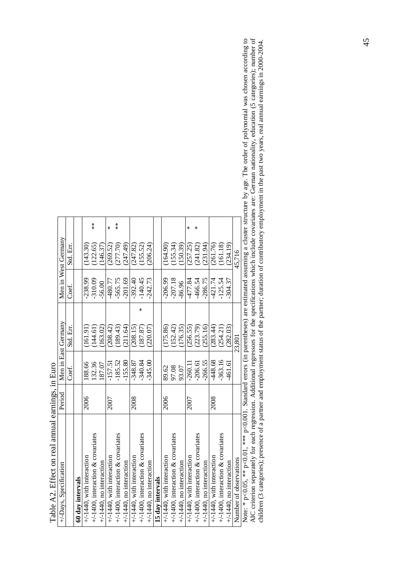| Table A2: Eliect on Ieal annual calliniss, in Euro                                                |        |           |                     |           |                     |               |
|---------------------------------------------------------------------------------------------------|--------|-----------|---------------------|-----------|---------------------|---------------|
| +/-Days, Specification                                                                            | Period |           | Men in East Germany |           | Men in West Germany |               |
|                                                                                                   |        | Coet.     | Std. Err.           | Coet.     | Std. Err.           |               |
| 60 day intervals                                                                                  |        |           |                     |           |                     |               |
| $+/-1440$ , with interaction                                                                      | 2006   | 188.66    | (161.91)            | $-238.99$ | (143.30)            |               |
| $+/-1400$ , interaction & covariates                                                              |        | 132.36    | (144.61)            | $-310.09$ | (122.65)            | $\frac{*}{*}$ |
| $+/-1440$ , no interaction                                                                        |        | 87.07     | (163.02)            | 56.00     | (146.37)            |               |
| $+/-1440$ , with interaction                                                                      | 2007   | $-157.51$ | (208.42)            | $-480.77$ | (269.52)            | *             |
| $+/-1400$ , interaction & covariates                                                              |        | $-185.52$ | (189.43)            | $-565.75$ | (277.70)            | $\frac{*}{*}$ |
| $+/-1440$ , no interaction                                                                        |        | $-155.80$ | (211.64)            | $-201.69$ | (247.49)            |               |
| $+/-1440$ , with interaction                                                                      | 2008   | $-348.87$ | (208.15)            | $-392.40$ | (247.82)            |               |
| $+/-1400$ , interaction & covariates                                                              |        | $-340.84$ | (187.87)            | $-140.45$ | (155.52)            |               |
| $+/-1440$ , no interaction                                                                        |        | $-345.00$ | (220.07)            | $-242.73$ | (206.24)            |               |
| 15 day intervals                                                                                  |        |           |                     |           |                     |               |
| $+/-1440$ , with interaction                                                                      | 2006   | 89.62     | (175.86)            | $-206.99$ | (164.90)            |               |
| $+/-1400$ , interaction & covariates                                                              |        | 97.08     | (152.42)            | $-207.18$ | (155.34)            |               |
| $+/-1440$ , no interaction                                                                        |        | 93.07     | (176.35)            | 86.96     | (150.39)            |               |
| $+/-1440$ , with interaction                                                                      | 2007   | $-260.1$  | (256.55)            | -477.84   | (257.25)            | ⋇             |
| $+/-1400$ , interaction & covariates                                                              |        | $-206.61$ | (223.79)            | $-466.54$ | (241.82)            |               |
| $+/-1440$ , no interaction                                                                        |        | $-266.55$ | (255.16)            | $-286.75$ | (231.94)            |               |
| $+/-1440$ , with interaction                                                                      | 2008   | -448.68   | (283.44)            | -421.74   | (261.76)            |               |
| $+/-1400$ , interaction & covariates                                                              |        | 363.16    | (254.21)            | $-125.54$ | (161.18)            |               |
| $+/-1440$ , no interaction                                                                        |        | -461.61   | (282.03)            | $-304.37$ | (234.19)            |               |
| Number of observations                                                                            |        |           | 23,801              |           | 45.716              |               |
| Note: * n O OS *** n O OO O Vendard arrore (in paranthoeoe) are estimated accuming a cluster stru |        |           |                     |           |                     |               |

Table A2. Effect on real annual earnings, in Euro Table A2. Effect on real annual earnings in Euro

Note: \*  $p<0.05$ , \*\*  $p<0.01$ , \*\*\*  $p<0.001$ . Standard errors (in parentheses) are estimated assuming a cluster structure by age. The order of polynomial was chosen according to AIC criterion separately for each regres Note: \* p<0.05, \*\* p<0.001, Standard errors (in parentheses) are estimated assuming a cluster structure by age. The order of polynomial was chosen according to AIC criterion separately for each regression. Additional regressors for the specifications which include covariates are: German nationality, education (5 categories); number of children (3 categories); presence of a partner and employment status of the partner; duration of contributory employment in the past two years, real annual earnings in 2000-2004. children (3 categories); presence of a partner and employment status of the partner; duration of contributory employment in the past two years, real annual earnings in 2000-2004.